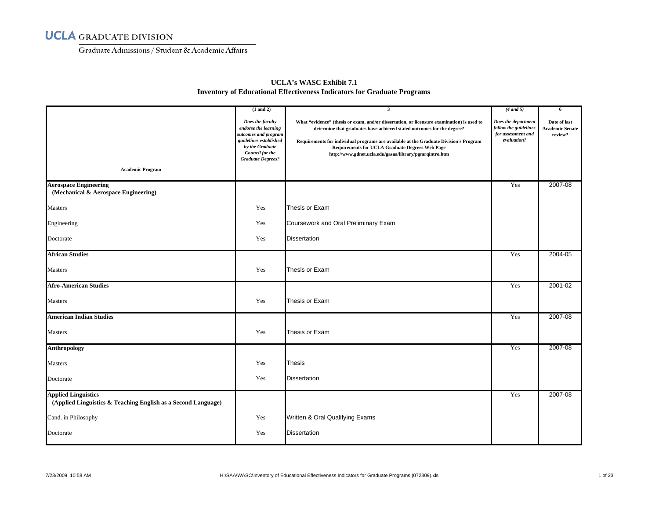Graduate Admissions/ Student & Academic Affairs

|                                                                                             | $(1$ and $2)$                                                                                                                                                | $\overline{\mathbf{3}}$                                                                                                                                                                                                                                                                                                                                                           | $(4$ and 5)                                                                       | 6                                                 |
|---------------------------------------------------------------------------------------------|--------------------------------------------------------------------------------------------------------------------------------------------------------------|-----------------------------------------------------------------------------------------------------------------------------------------------------------------------------------------------------------------------------------------------------------------------------------------------------------------------------------------------------------------------------------|-----------------------------------------------------------------------------------|---------------------------------------------------|
|                                                                                             | Does the faculty<br>endorse the learning<br>outcomes and program<br>guidelines established<br>by the Graduate<br>Council for the<br><b>Graduate Degrees?</b> | What "evidence" (thesis or exam, and/or dissertation, or licensure examination) is used to<br>determine that graduates have achieved stated outcomes for the degree?<br>Requirements for individual programs are available at the Graduate Division's Program<br><b>Requirements for UCLA Graduate Degrees Web Page</b><br>http://www.gdnet.ucla.edu/gasaa/library/pgmrqintro.htm | Does the department<br>follow the guidelines<br>for assessment and<br>evaluation? | Date of last<br><b>Academic Senate</b><br>review? |
| <b>Academic Program</b>                                                                     |                                                                                                                                                              |                                                                                                                                                                                                                                                                                                                                                                                   |                                                                                   |                                                   |
| <b>Aerospace Engineering</b><br>(Mechanical & Aerospace Engineering)                        |                                                                                                                                                              |                                                                                                                                                                                                                                                                                                                                                                                   | Yes                                                                               | 2007-08                                           |
| <b>Masters</b>                                                                              | Yes                                                                                                                                                          | Thesis or Exam                                                                                                                                                                                                                                                                                                                                                                    |                                                                                   |                                                   |
| Engineering                                                                                 | Yes                                                                                                                                                          | Coursework and Oral Preliminary Exam                                                                                                                                                                                                                                                                                                                                              |                                                                                   |                                                   |
| Doctorate                                                                                   | Yes                                                                                                                                                          | <b>Dissertation</b>                                                                                                                                                                                                                                                                                                                                                               |                                                                                   |                                                   |
| <b>African Studies</b>                                                                      |                                                                                                                                                              |                                                                                                                                                                                                                                                                                                                                                                                   | Yes                                                                               | 2004-05                                           |
| <b>Masters</b>                                                                              | Yes                                                                                                                                                          | Thesis or Exam                                                                                                                                                                                                                                                                                                                                                                    |                                                                                   |                                                   |
| <b>Afro-American Studies</b>                                                                |                                                                                                                                                              |                                                                                                                                                                                                                                                                                                                                                                                   | Yes                                                                               | 2001-02                                           |
| <b>Masters</b>                                                                              | Yes                                                                                                                                                          | Thesis or Exam                                                                                                                                                                                                                                                                                                                                                                    |                                                                                   |                                                   |
| <b>American Indian Studies</b>                                                              |                                                                                                                                                              |                                                                                                                                                                                                                                                                                                                                                                                   | Yes                                                                               | 2007-08                                           |
| Masters                                                                                     | Yes                                                                                                                                                          | Thesis or Exam                                                                                                                                                                                                                                                                                                                                                                    |                                                                                   |                                                   |
| <b>Anthropology</b>                                                                         |                                                                                                                                                              |                                                                                                                                                                                                                                                                                                                                                                                   | Yes                                                                               | 2007-08                                           |
| <b>Masters</b>                                                                              | Yes                                                                                                                                                          | Thesis                                                                                                                                                                                                                                                                                                                                                                            |                                                                                   |                                                   |
| Doctorate                                                                                   | Yes                                                                                                                                                          | <b>Dissertation</b>                                                                                                                                                                                                                                                                                                                                                               |                                                                                   |                                                   |
| <b>Applied Linguistics</b><br>(Applied Linguistics & Teaching English as a Second Language) |                                                                                                                                                              |                                                                                                                                                                                                                                                                                                                                                                                   | Yes                                                                               | 2007-08                                           |
| Cand. in Philosophy                                                                         | Yes                                                                                                                                                          | Written & Oral Qualifying Exams                                                                                                                                                                                                                                                                                                                                                   |                                                                                   |                                                   |
| Doctorate                                                                                   | Yes                                                                                                                                                          | <b>Dissertation</b>                                                                                                                                                                                                                                                                                                                                                               |                                                                                   |                                                   |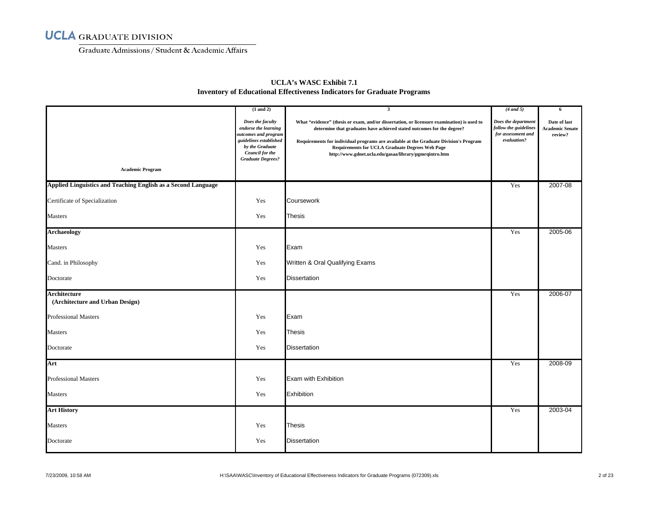Graduate Admissions/ Student & Academic Affairs

| <b>Academic Program</b>                                       | $(1$ and $2)$<br>Does the faculty<br>endorse the learning<br>outcomes and program<br>guidelines established<br>by the Graduate<br>Council for the<br><b>Graduate Degrees?</b> | $\mathbf{3}$<br>What "evidence" (thesis or exam, and/or dissertation, or licensure examination) is used to<br>determine that graduates have achieved stated outcomes for the degree?<br>Requirements for individual programs are available at the Graduate Division's Program<br><b>Requirements for UCLA Graduate Degrees Web Page</b><br>http://www.gdnet.ucla.edu/gasaa/library/pgmrqintro.htm | $(4$ and 5)<br>Does the department<br>follow the guidelines<br>for assessment and<br>evaluation? | -6<br>Date of last<br><b>Academic Senate</b><br>review? |
|---------------------------------------------------------------|-------------------------------------------------------------------------------------------------------------------------------------------------------------------------------|---------------------------------------------------------------------------------------------------------------------------------------------------------------------------------------------------------------------------------------------------------------------------------------------------------------------------------------------------------------------------------------------------|--------------------------------------------------------------------------------------------------|---------------------------------------------------------|
|                                                               |                                                                                                                                                                               |                                                                                                                                                                                                                                                                                                                                                                                                   |                                                                                                  |                                                         |
| Applied Linguistics and Teaching English as a Second Language |                                                                                                                                                                               |                                                                                                                                                                                                                                                                                                                                                                                                   | Yes                                                                                              | 2007-08                                                 |
| Certificate of Specialization                                 | Yes                                                                                                                                                                           | Coursework                                                                                                                                                                                                                                                                                                                                                                                        |                                                                                                  |                                                         |
| Masters                                                       | Yes                                                                                                                                                                           | <b>Thesis</b>                                                                                                                                                                                                                                                                                                                                                                                     |                                                                                                  |                                                         |
| <b>Archaeology</b>                                            |                                                                                                                                                                               |                                                                                                                                                                                                                                                                                                                                                                                                   | Yes                                                                                              | 2005-06                                                 |
| Masters                                                       | Yes                                                                                                                                                                           | Exam                                                                                                                                                                                                                                                                                                                                                                                              |                                                                                                  |                                                         |
| Cand. in Philosophy                                           | Yes                                                                                                                                                                           | Written & Oral Qualifying Exams                                                                                                                                                                                                                                                                                                                                                                   |                                                                                                  |                                                         |
| Doctorate                                                     | Yes                                                                                                                                                                           | <b>Dissertation</b>                                                                                                                                                                                                                                                                                                                                                                               |                                                                                                  |                                                         |
| Architecture<br>(Architecture and Urban Design)               |                                                                                                                                                                               |                                                                                                                                                                                                                                                                                                                                                                                                   | Yes                                                                                              | 2006-07                                                 |
| <b>Professional Masters</b>                                   | Yes                                                                                                                                                                           | Exam                                                                                                                                                                                                                                                                                                                                                                                              |                                                                                                  |                                                         |
| Masters                                                       | Yes                                                                                                                                                                           | <b>Thesis</b>                                                                                                                                                                                                                                                                                                                                                                                     |                                                                                                  |                                                         |
| Doctorate                                                     | Yes                                                                                                                                                                           | <b>Dissertation</b>                                                                                                                                                                                                                                                                                                                                                                               |                                                                                                  |                                                         |
| Art                                                           |                                                                                                                                                                               |                                                                                                                                                                                                                                                                                                                                                                                                   | Yes                                                                                              | 2008-09                                                 |
| <b>Professional Masters</b>                                   | Yes                                                                                                                                                                           | Exam with Exhibition                                                                                                                                                                                                                                                                                                                                                                              |                                                                                                  |                                                         |
| <b>Masters</b>                                                | Yes                                                                                                                                                                           | Exhibition                                                                                                                                                                                                                                                                                                                                                                                        |                                                                                                  |                                                         |
| <b>Art History</b>                                            |                                                                                                                                                                               |                                                                                                                                                                                                                                                                                                                                                                                                   | Yes                                                                                              | 2003-04                                                 |
| Masters                                                       | Yes                                                                                                                                                                           | <b>Thesis</b>                                                                                                                                                                                                                                                                                                                                                                                     |                                                                                                  |                                                         |
| Doctorate                                                     | Yes                                                                                                                                                                           | <b>Dissertation</b>                                                                                                                                                                                                                                                                                                                                                                               |                                                                                                  |                                                         |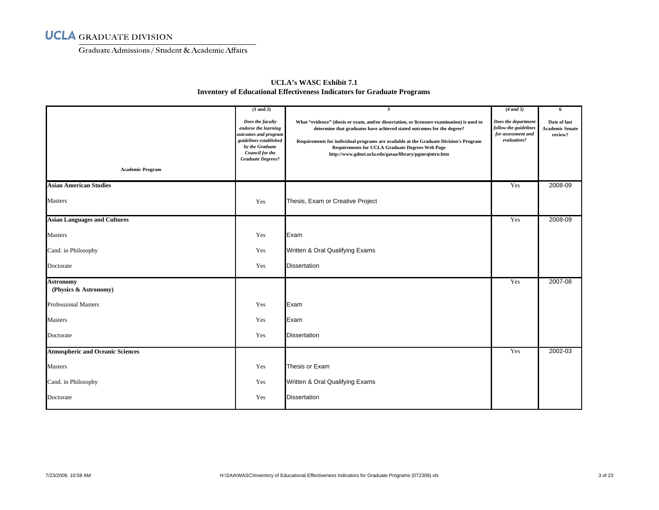Graduate Admissions/ Student & Academic Affairs

| <b>Academic Program</b>                         | $(1$ and $2)$<br>Does the faculty<br>endorse the learning<br>outcomes and program<br>guidelines established<br>by the Graduate<br>Council for the<br><b>Graduate Degrees?</b> | $\overline{\mathbf{3}}$<br>What "evidence" (thesis or exam, and/or dissertation, or licensure examination) is used to<br>determine that graduates have achieved stated outcomes for the degree?<br>Requirements for individual programs are available at the Graduate Division's Program<br><b>Requirements for UCLA Graduate Degrees Web Page</b><br>http://www.gdnet.ucla.edu/gasaa/library/pgmrqintro.htm | $(4$ and 5)<br>Does the department<br>follow the guidelines<br>for assessment and<br>evaluation? | 6<br>Date of last<br><b>Academic Senate</b><br>review? |
|-------------------------------------------------|-------------------------------------------------------------------------------------------------------------------------------------------------------------------------------|--------------------------------------------------------------------------------------------------------------------------------------------------------------------------------------------------------------------------------------------------------------------------------------------------------------------------------------------------------------------------------------------------------------|--------------------------------------------------------------------------------------------------|--------------------------------------------------------|
| <b>Asian American Studies</b><br><b>Masters</b> | Yes                                                                                                                                                                           | Thesis, Exam or Creative Project                                                                                                                                                                                                                                                                                                                                                                             | Yes                                                                                              | 2008-09                                                |
| <b>Asian Languages and Cultures</b>             |                                                                                                                                                                               |                                                                                                                                                                                                                                                                                                                                                                                                              | Yes                                                                                              | 2008-09                                                |
| Masters                                         | Yes                                                                                                                                                                           | Exam                                                                                                                                                                                                                                                                                                                                                                                                         |                                                                                                  |                                                        |
| Cand. in Philosophy                             | Yes                                                                                                                                                                           | Written & Oral Qualifying Exams                                                                                                                                                                                                                                                                                                                                                                              |                                                                                                  |                                                        |
| Doctorate                                       | Yes                                                                                                                                                                           | <b>Dissertation</b>                                                                                                                                                                                                                                                                                                                                                                                          |                                                                                                  |                                                        |
| <b>Astronomy</b><br>(Physics & Astronomy)       |                                                                                                                                                                               |                                                                                                                                                                                                                                                                                                                                                                                                              | Yes                                                                                              | 2007-08                                                |
| <b>Professional Masters</b>                     | Yes                                                                                                                                                                           | Exam                                                                                                                                                                                                                                                                                                                                                                                                         |                                                                                                  |                                                        |
| <b>Masters</b>                                  | Yes                                                                                                                                                                           | Exam                                                                                                                                                                                                                                                                                                                                                                                                         |                                                                                                  |                                                        |
| Doctorate                                       | Yes                                                                                                                                                                           | <b>Dissertation</b>                                                                                                                                                                                                                                                                                                                                                                                          |                                                                                                  |                                                        |
| <b>Atmospheric and Oceanic Sciences</b>         |                                                                                                                                                                               |                                                                                                                                                                                                                                                                                                                                                                                                              | Yes                                                                                              | 2002-03                                                |
| <b>Masters</b>                                  | Yes                                                                                                                                                                           | Thesis or Exam                                                                                                                                                                                                                                                                                                                                                                                               |                                                                                                  |                                                        |
| Cand. in Philosophy                             | Yes                                                                                                                                                                           | Written & Oral Qualifying Exams                                                                                                                                                                                                                                                                                                                                                                              |                                                                                                  |                                                        |
| Doctorate                                       | Yes                                                                                                                                                                           | <b>Dissertation</b>                                                                                                                                                                                                                                                                                                                                                                                          |                                                                                                  |                                                        |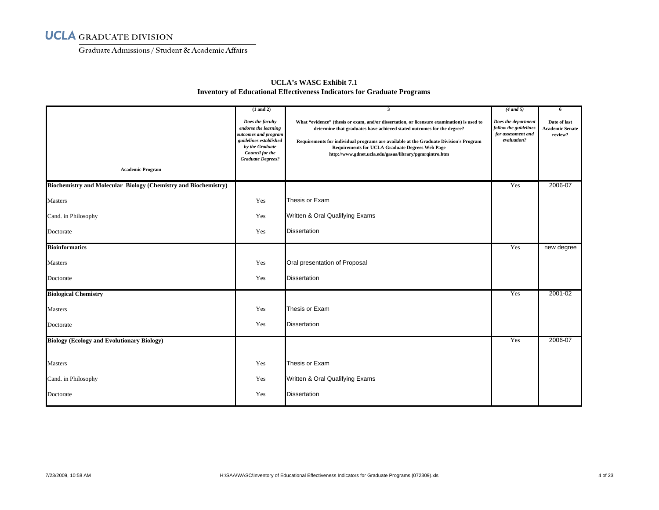Graduate Admissions/ Student & Academic Affairs

| <b>Academic Program</b>                                         | $(1$ and $2)$<br>Does the faculty<br>endorse the learning<br>outcomes and program<br>guidelines established<br>by the Graduate<br><b>Council for the</b><br><b>Graduate Degrees?</b> | $\overline{\mathbf{3}}$<br>What "evidence" (thesis or exam, and/or dissertation, or licensure examination) is used to<br>determine that graduates have achieved stated outcomes for the degree?<br>Requirements for individual programs are available at the Graduate Division's Program<br><b>Requirements for UCLA Graduate Degrees Web Page</b><br>http://www.gdnet.ucla.edu/gasaa/library/pgmrqintro.htm | $(4$ and 5)<br>Does the department<br>follow the guidelines<br>for assessment and<br>evaluation? | 6<br>Date of last<br><b>Academic Senate</b><br>review? |
|-----------------------------------------------------------------|--------------------------------------------------------------------------------------------------------------------------------------------------------------------------------------|--------------------------------------------------------------------------------------------------------------------------------------------------------------------------------------------------------------------------------------------------------------------------------------------------------------------------------------------------------------------------------------------------------------|--------------------------------------------------------------------------------------------------|--------------------------------------------------------|
| Biochemistry and Molecular Biology (Chemistry and Biochemistry) |                                                                                                                                                                                      |                                                                                                                                                                                                                                                                                                                                                                                                              | Yes                                                                                              | 2006-07                                                |
| <b>Masters</b>                                                  | Yes                                                                                                                                                                                  | Thesis or Exam                                                                                                                                                                                                                                                                                                                                                                                               |                                                                                                  |                                                        |
| Cand. in Philosophy                                             | Yes                                                                                                                                                                                  | Written & Oral Qualifying Exams                                                                                                                                                                                                                                                                                                                                                                              |                                                                                                  |                                                        |
| Doctorate                                                       | Yes                                                                                                                                                                                  | <b>Dissertation</b>                                                                                                                                                                                                                                                                                                                                                                                          |                                                                                                  |                                                        |
| <b>Bioinformatics</b>                                           |                                                                                                                                                                                      |                                                                                                                                                                                                                                                                                                                                                                                                              | Yes                                                                                              | new degree                                             |
| <b>Masters</b>                                                  | Yes                                                                                                                                                                                  | Oral presentation of Proposal                                                                                                                                                                                                                                                                                                                                                                                |                                                                                                  |                                                        |
| Doctorate                                                       | Yes                                                                                                                                                                                  | <b>Dissertation</b>                                                                                                                                                                                                                                                                                                                                                                                          |                                                                                                  |                                                        |
| <b>Biological Chemistry</b>                                     |                                                                                                                                                                                      |                                                                                                                                                                                                                                                                                                                                                                                                              | Yes                                                                                              | 2001-02                                                |
| <b>Masters</b>                                                  | Yes                                                                                                                                                                                  | Thesis or Exam                                                                                                                                                                                                                                                                                                                                                                                               |                                                                                                  |                                                        |
| Doctorate                                                       | Yes                                                                                                                                                                                  | <b>Dissertation</b>                                                                                                                                                                                                                                                                                                                                                                                          |                                                                                                  |                                                        |
| <b>Biology (Ecology and Evolutionary Biology)</b>               |                                                                                                                                                                                      |                                                                                                                                                                                                                                                                                                                                                                                                              | Yes                                                                                              | 2006-07                                                |
| <b>Masters</b>                                                  | Yes                                                                                                                                                                                  | Thesis or Exam                                                                                                                                                                                                                                                                                                                                                                                               |                                                                                                  |                                                        |
| Cand. in Philosophy                                             | Yes                                                                                                                                                                                  | Written & Oral Qualifying Exams                                                                                                                                                                                                                                                                                                                                                                              |                                                                                                  |                                                        |
| Doctorate                                                       | Yes                                                                                                                                                                                  | <b>Dissertation</b>                                                                                                                                                                                                                                                                                                                                                                                          |                                                                                                  |                                                        |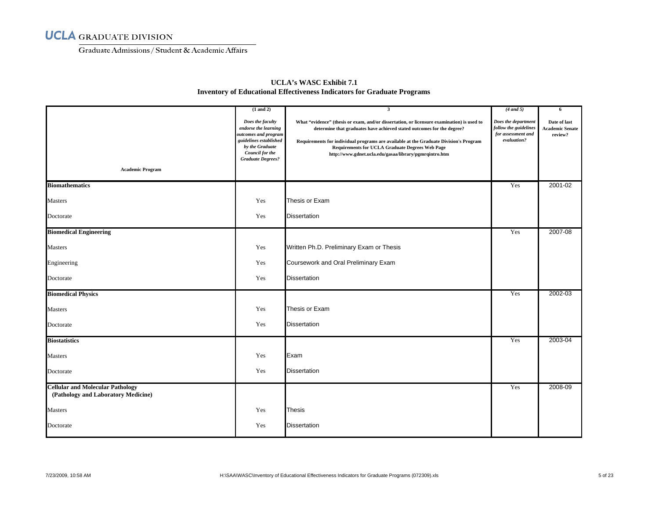Graduate Admissions/ Student & Academic Affairs

| <b>Academic Program</b>                                                        | $(1$ and $2)$<br>Does the faculty<br>endorse the learning<br>outcomes and program<br>guidelines established<br>by the Graduate<br>Council for the<br><b>Graduate Degrees?</b> | $\overline{\mathbf{3}}$<br>What "evidence" (thesis or exam, and/or dissertation, or licensure examination) is used to<br>determine that graduates have achieved stated outcomes for the degree?<br>Requirements for individual programs are available at the Graduate Division's Program<br><b>Requirements for UCLA Graduate Degrees Web Page</b><br>http://www.gdnet.ucla.edu/gasaa/library/pgmrqintro.htm | $(4$ and 5)<br>Does the department<br>follow the guidelines<br>for assessment and<br>evaluation? | 6<br>Date of last<br><b>Academic Senate</b><br>review? |
|--------------------------------------------------------------------------------|-------------------------------------------------------------------------------------------------------------------------------------------------------------------------------|--------------------------------------------------------------------------------------------------------------------------------------------------------------------------------------------------------------------------------------------------------------------------------------------------------------------------------------------------------------------------------------------------------------|--------------------------------------------------------------------------------------------------|--------------------------------------------------------|
| <b>Biomathematics</b>                                                          |                                                                                                                                                                               |                                                                                                                                                                                                                                                                                                                                                                                                              | Yes                                                                                              | 2001-02                                                |
| Masters                                                                        | Yes                                                                                                                                                                           | Thesis or Exam                                                                                                                                                                                                                                                                                                                                                                                               |                                                                                                  |                                                        |
| Doctorate                                                                      | Yes                                                                                                                                                                           | <b>Dissertation</b>                                                                                                                                                                                                                                                                                                                                                                                          |                                                                                                  |                                                        |
| <b>Biomedical Engineering</b>                                                  |                                                                                                                                                                               |                                                                                                                                                                                                                                                                                                                                                                                                              | Yes                                                                                              | 2007-08                                                |
| Masters                                                                        | Yes                                                                                                                                                                           | Written Ph.D. Preliminary Exam or Thesis                                                                                                                                                                                                                                                                                                                                                                     |                                                                                                  |                                                        |
| Engineering                                                                    | Yes                                                                                                                                                                           | Coursework and Oral Preliminary Exam                                                                                                                                                                                                                                                                                                                                                                         |                                                                                                  |                                                        |
| Doctorate                                                                      | Yes                                                                                                                                                                           | <b>Dissertation</b>                                                                                                                                                                                                                                                                                                                                                                                          |                                                                                                  |                                                        |
| <b>Biomedical Physics</b>                                                      |                                                                                                                                                                               |                                                                                                                                                                                                                                                                                                                                                                                                              | Yes                                                                                              | 2002-03                                                |
| Masters                                                                        | Yes                                                                                                                                                                           | Thesis or Exam                                                                                                                                                                                                                                                                                                                                                                                               |                                                                                                  |                                                        |
| Doctorate                                                                      | Yes                                                                                                                                                                           | <b>Dissertation</b>                                                                                                                                                                                                                                                                                                                                                                                          |                                                                                                  |                                                        |
| <b>Biostatistics</b>                                                           |                                                                                                                                                                               |                                                                                                                                                                                                                                                                                                                                                                                                              | Yes                                                                                              | 2003-04                                                |
| Masters                                                                        | Yes                                                                                                                                                                           | Exam                                                                                                                                                                                                                                                                                                                                                                                                         |                                                                                                  |                                                        |
| Doctorate                                                                      | Yes                                                                                                                                                                           | <b>Dissertation</b>                                                                                                                                                                                                                                                                                                                                                                                          |                                                                                                  |                                                        |
| <b>Cellular and Molecular Pathology</b><br>(Pathology and Laboratory Medicine) |                                                                                                                                                                               |                                                                                                                                                                                                                                                                                                                                                                                                              | Yes                                                                                              | 2008-09                                                |
| <b>Masters</b>                                                                 | Yes                                                                                                                                                                           | <b>Thesis</b>                                                                                                                                                                                                                                                                                                                                                                                                |                                                                                                  |                                                        |
| Doctorate                                                                      | Yes                                                                                                                                                                           | <b>Dissertation</b>                                                                                                                                                                                                                                                                                                                                                                                          |                                                                                                  |                                                        |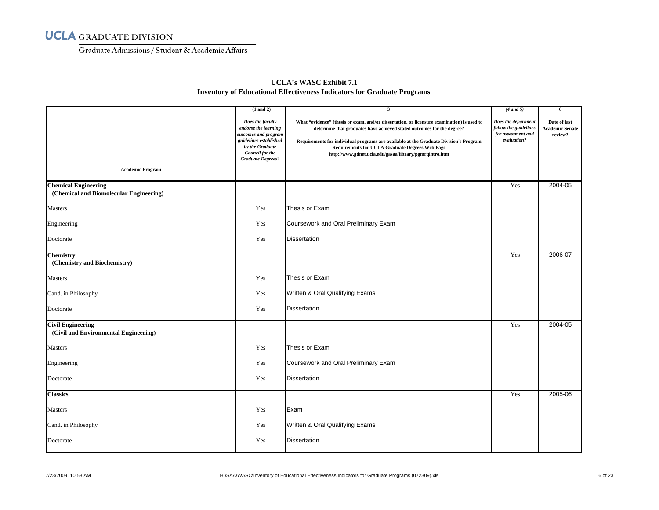Graduate Admissions/ Student & Academic Affairs

|                                                                        | $(1$ and $2)$                                                                                                                                                       | $\mathbf{3}$                                                                                                                                                                                                                                                                                                                                                                      | $(4$ and 5)                                                                       | -6                                                |
|------------------------------------------------------------------------|---------------------------------------------------------------------------------------------------------------------------------------------------------------------|-----------------------------------------------------------------------------------------------------------------------------------------------------------------------------------------------------------------------------------------------------------------------------------------------------------------------------------------------------------------------------------|-----------------------------------------------------------------------------------|---------------------------------------------------|
| <b>Academic Program</b>                                                | Does the faculty<br>endorse the learning<br>outcomes and program<br>guidelines established<br>by the Graduate<br><b>Council for the</b><br><b>Graduate Degrees?</b> | What "evidence" (thesis or exam, and/or dissertation, or licensure examination) is used to<br>determine that graduates have achieved stated outcomes for the degree?<br>Requirements for individual programs are available at the Graduate Division's Program<br><b>Requirements for UCLA Graduate Degrees Web Page</b><br>http://www.gdnet.ucla.edu/gasaa/library/pgmrqintro.htm | Does the department<br>follow the guidelines<br>for assessment and<br>evaluation? | Date of last<br><b>Academic Senate</b><br>review? |
|                                                                        |                                                                                                                                                                     |                                                                                                                                                                                                                                                                                                                                                                                   |                                                                                   |                                                   |
| <b>Chemical Engineering</b><br>(Chemical and Biomolecular Engineering) |                                                                                                                                                                     |                                                                                                                                                                                                                                                                                                                                                                                   | Yes                                                                               | 2004-05                                           |
| Masters                                                                | Yes                                                                                                                                                                 | Thesis or Exam                                                                                                                                                                                                                                                                                                                                                                    |                                                                                   |                                                   |
| Engineering                                                            | Yes                                                                                                                                                                 | Coursework and Oral Preliminary Exam                                                                                                                                                                                                                                                                                                                                              |                                                                                   |                                                   |
| Doctorate                                                              | Yes                                                                                                                                                                 | <b>Dissertation</b>                                                                                                                                                                                                                                                                                                                                                               |                                                                                   |                                                   |
| <b>Chemistry</b><br>(Chemistry and Biochemistry)                       |                                                                                                                                                                     |                                                                                                                                                                                                                                                                                                                                                                                   | Yes                                                                               | 2006-07                                           |
| <b>Masters</b>                                                         | Yes                                                                                                                                                                 | Thesis or Exam                                                                                                                                                                                                                                                                                                                                                                    |                                                                                   |                                                   |
| Cand. in Philosophy                                                    | Yes                                                                                                                                                                 | Written & Oral Qualifying Exams                                                                                                                                                                                                                                                                                                                                                   |                                                                                   |                                                   |
| Doctorate                                                              | Yes                                                                                                                                                                 | <b>Dissertation</b>                                                                                                                                                                                                                                                                                                                                                               |                                                                                   |                                                   |
| <b>Civil Engineering</b><br>(Civil and Environmental Engineering)      |                                                                                                                                                                     |                                                                                                                                                                                                                                                                                                                                                                                   | Yes                                                                               | 2004-05                                           |
| <b>Masters</b>                                                         | Yes                                                                                                                                                                 | Thesis or Exam                                                                                                                                                                                                                                                                                                                                                                    |                                                                                   |                                                   |
| Engineering                                                            | Yes                                                                                                                                                                 | Coursework and Oral Preliminary Exam                                                                                                                                                                                                                                                                                                                                              |                                                                                   |                                                   |
| Doctorate                                                              | Yes                                                                                                                                                                 | <b>Dissertation</b>                                                                                                                                                                                                                                                                                                                                                               |                                                                                   |                                                   |
| <b>Classics</b>                                                        |                                                                                                                                                                     |                                                                                                                                                                                                                                                                                                                                                                                   | Yes                                                                               | 2005-06                                           |
| <b>Masters</b>                                                         | Yes                                                                                                                                                                 | Exam                                                                                                                                                                                                                                                                                                                                                                              |                                                                                   |                                                   |
| Cand. in Philosophy                                                    | Yes                                                                                                                                                                 | Written & Oral Qualifying Exams                                                                                                                                                                                                                                                                                                                                                   |                                                                                   |                                                   |
| Doctorate                                                              | Yes                                                                                                                                                                 | <b>Dissertation</b>                                                                                                                                                                                                                                                                                                                                                               |                                                                                   |                                                   |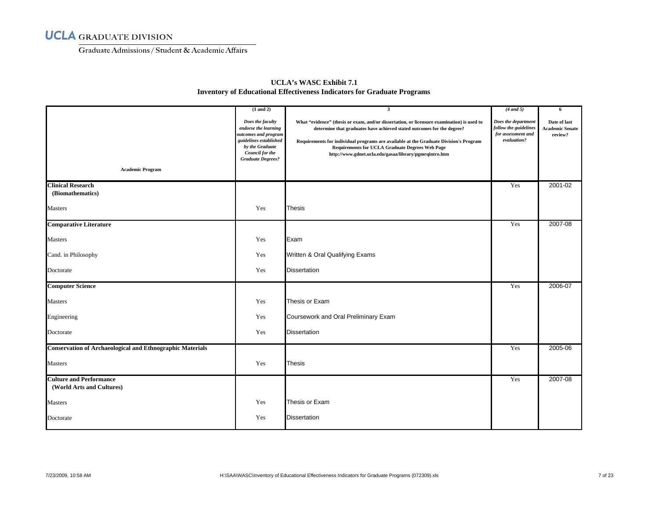Graduate Admissions/ Student & Academic Affairs

|                                                                  | $(1$ and $2)$                                                                                                                                                | $\overline{\mathbf{3}}$                                                                                                                                                                                                                                                                                                                                                           | $(4$ and 5)                                                                       | 6                                                 |
|------------------------------------------------------------------|--------------------------------------------------------------------------------------------------------------------------------------------------------------|-----------------------------------------------------------------------------------------------------------------------------------------------------------------------------------------------------------------------------------------------------------------------------------------------------------------------------------------------------------------------------------|-----------------------------------------------------------------------------------|---------------------------------------------------|
|                                                                  | Does the faculty<br>endorse the learning<br>outcomes and program<br>guidelines established<br>by the Graduate<br>Council for the<br><b>Graduate Degrees?</b> | What "evidence" (thesis or exam, and/or dissertation, or licensure examination) is used to<br>determine that graduates have achieved stated outcomes for the degree?<br>Requirements for individual programs are available at the Graduate Division's Program<br><b>Requirements for UCLA Graduate Degrees Web Page</b><br>http://www.gdnet.ucla.edu/gasaa/library/pgmrqintro.htm | Does the department<br>follow the guidelines<br>for assessment and<br>evaluation? | Date of last<br><b>Academic Senate</b><br>review? |
| <b>Academic Program</b>                                          |                                                                                                                                                              |                                                                                                                                                                                                                                                                                                                                                                                   |                                                                                   |                                                   |
| <b>Clinical Research</b><br>(Biomathematics)                     |                                                                                                                                                              |                                                                                                                                                                                                                                                                                                                                                                                   | Yes                                                                               | 2001-02                                           |
|                                                                  |                                                                                                                                                              |                                                                                                                                                                                                                                                                                                                                                                                   |                                                                                   |                                                   |
| Masters                                                          | Yes                                                                                                                                                          | <b>Thesis</b>                                                                                                                                                                                                                                                                                                                                                                     |                                                                                   |                                                   |
| <b>Comparative Literature</b>                                    |                                                                                                                                                              |                                                                                                                                                                                                                                                                                                                                                                                   | Yes                                                                               | 2007-08                                           |
| <b>Masters</b>                                                   | Yes                                                                                                                                                          | Exam                                                                                                                                                                                                                                                                                                                                                                              |                                                                                   |                                                   |
| Cand. in Philosophy                                              | Yes                                                                                                                                                          | Written & Oral Qualifying Exams                                                                                                                                                                                                                                                                                                                                                   |                                                                                   |                                                   |
| Doctorate                                                        | Yes                                                                                                                                                          | <b>Dissertation</b>                                                                                                                                                                                                                                                                                                                                                               |                                                                                   |                                                   |
| <b>Computer Science</b>                                          |                                                                                                                                                              |                                                                                                                                                                                                                                                                                                                                                                                   | Yes                                                                               | 2006-07                                           |
| Masters                                                          | Yes                                                                                                                                                          | Thesis or Exam                                                                                                                                                                                                                                                                                                                                                                    |                                                                                   |                                                   |
| Engineering                                                      | Yes                                                                                                                                                          | Coursework and Oral Preliminary Exam                                                                                                                                                                                                                                                                                                                                              |                                                                                   |                                                   |
| Doctorate                                                        | Yes                                                                                                                                                          | <b>Dissertation</b>                                                                                                                                                                                                                                                                                                                                                               |                                                                                   |                                                   |
| <b>Conservation of Archaeological and Ethnographic Materials</b> |                                                                                                                                                              |                                                                                                                                                                                                                                                                                                                                                                                   | Yes                                                                               | 2005-06                                           |
| Masters                                                          | Yes                                                                                                                                                          | <b>Thesis</b>                                                                                                                                                                                                                                                                                                                                                                     |                                                                                   |                                                   |
| <b>Culture and Performance</b><br>(World Arts and Cultures)      |                                                                                                                                                              |                                                                                                                                                                                                                                                                                                                                                                                   | Yes                                                                               | 2007-08                                           |
| <b>Masters</b>                                                   | Yes                                                                                                                                                          | Thesis or Exam                                                                                                                                                                                                                                                                                                                                                                    |                                                                                   |                                                   |
| Doctorate                                                        | Yes                                                                                                                                                          | <b>Dissertation</b>                                                                                                                                                                                                                                                                                                                                                               |                                                                                   |                                                   |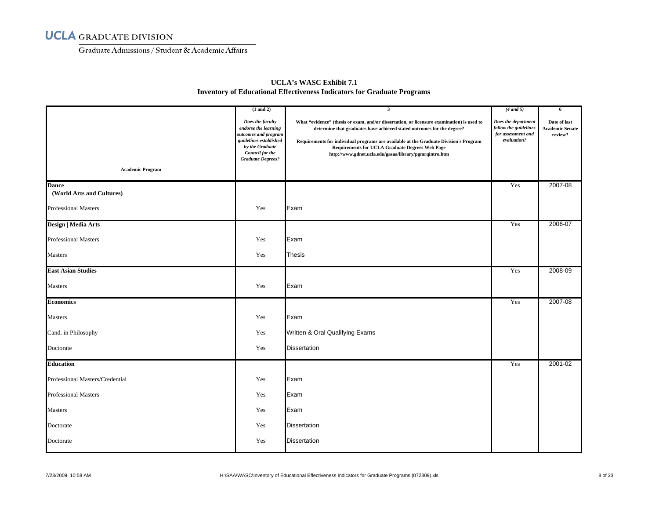Graduate Admissions/ Student & Academic Affairs

| <b>Academic Program</b>                   | $(1$ and $2)$<br>Does the faculty<br>endorse the learning<br>outcomes and program<br>guidelines established<br>by the Graduate<br>Council for the<br><b>Graduate Degrees?</b> | $\mathbf{3}$<br>What "evidence" (thesis or exam, and/or dissertation, or licensure examination) is used to<br>determine that graduates have achieved stated outcomes for the degree?<br>Requirements for individual programs are available at the Graduate Division's Program<br><b>Requirements for UCLA Graduate Degrees Web Page</b><br>http://www.gdnet.ucla.edu/gasaa/library/pgmrqintro.htm | $(4$ and 5)<br>Does the department<br>follow the guidelines<br>for assessment and<br>evaluation? | 6<br>Date of last<br><b>Academic Senate</b><br>review? |
|-------------------------------------------|-------------------------------------------------------------------------------------------------------------------------------------------------------------------------------|---------------------------------------------------------------------------------------------------------------------------------------------------------------------------------------------------------------------------------------------------------------------------------------------------------------------------------------------------------------------------------------------------|--------------------------------------------------------------------------------------------------|--------------------------------------------------------|
| <b>Dance</b><br>(World Arts and Cultures) |                                                                                                                                                                               |                                                                                                                                                                                                                                                                                                                                                                                                   | Yes                                                                                              | 2007-08                                                |
| <b>Professional Masters</b>               | Yes                                                                                                                                                                           | Exam                                                                                                                                                                                                                                                                                                                                                                                              |                                                                                                  |                                                        |
| Design   Media Arts                       |                                                                                                                                                                               |                                                                                                                                                                                                                                                                                                                                                                                                   | Yes                                                                                              | 2006-07                                                |
| <b>Professional Masters</b>               | Yes                                                                                                                                                                           | Exam                                                                                                                                                                                                                                                                                                                                                                                              |                                                                                                  |                                                        |
| Masters                                   | Yes                                                                                                                                                                           | <b>Thesis</b>                                                                                                                                                                                                                                                                                                                                                                                     |                                                                                                  |                                                        |
| <b>East Asian Studies</b>                 |                                                                                                                                                                               |                                                                                                                                                                                                                                                                                                                                                                                                   | Yes                                                                                              | 2008-09                                                |
| <b>Masters</b>                            | Yes                                                                                                                                                                           | Exam                                                                                                                                                                                                                                                                                                                                                                                              |                                                                                                  |                                                        |
| <b>Economics</b>                          |                                                                                                                                                                               |                                                                                                                                                                                                                                                                                                                                                                                                   | Yes                                                                                              | 2007-08                                                |
| Masters                                   | Yes                                                                                                                                                                           | Exam                                                                                                                                                                                                                                                                                                                                                                                              |                                                                                                  |                                                        |
| Cand. in Philosophy                       | Yes                                                                                                                                                                           | Written & Oral Qualifying Exams                                                                                                                                                                                                                                                                                                                                                                   |                                                                                                  |                                                        |
| Doctorate                                 | Yes                                                                                                                                                                           | <b>Dissertation</b>                                                                                                                                                                                                                                                                                                                                                                               |                                                                                                  |                                                        |
| <b>Education</b>                          |                                                                                                                                                                               |                                                                                                                                                                                                                                                                                                                                                                                                   | Yes                                                                                              | 2001-02                                                |
| Professional Masters/Credential           | Yes                                                                                                                                                                           | Exam                                                                                                                                                                                                                                                                                                                                                                                              |                                                                                                  |                                                        |
| <b>Professional Masters</b>               | Yes                                                                                                                                                                           | Exam                                                                                                                                                                                                                                                                                                                                                                                              |                                                                                                  |                                                        |
| <b>Masters</b>                            | Yes                                                                                                                                                                           | Exam                                                                                                                                                                                                                                                                                                                                                                                              |                                                                                                  |                                                        |
| Doctorate                                 | Yes                                                                                                                                                                           | <b>Dissertation</b>                                                                                                                                                                                                                                                                                                                                                                               |                                                                                                  |                                                        |
| Doctorate                                 | Yes                                                                                                                                                                           | <b>Dissertation</b>                                                                                                                                                                                                                                                                                                                                                                               |                                                                                                  |                                                        |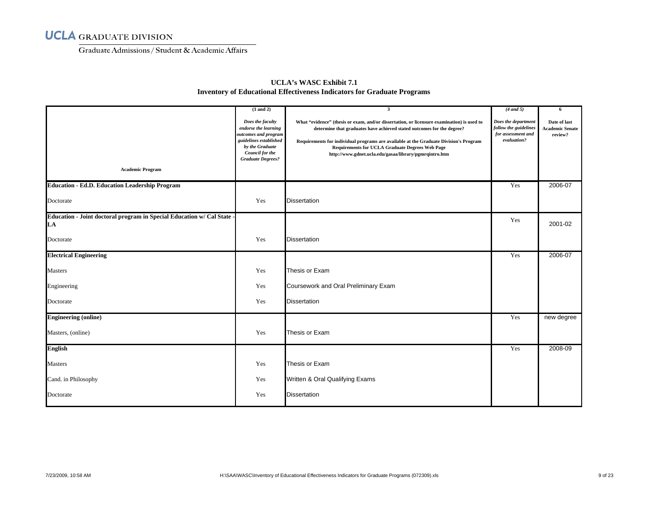Graduate Admissions/ Student & Academic Affairs

| <b>Academic Program</b>                                                      | $(1$ and $2)$<br>Does the faculty<br>endorse the learning<br>outcomes and program<br>guidelines established<br>by the Graduate<br>Council for the<br><b>Graduate Degrees?</b> | $\overline{\mathbf{3}}$<br>What "evidence" (thesis or exam, and/or dissertation, or licensure examination) is used to<br>determine that graduates have achieved stated outcomes for the degree?<br>Requirements for individual programs are available at the Graduate Division's Program<br><b>Requirements for UCLA Graduate Degrees Web Page</b><br>http://www.gdnet.ucla.edu/gasaa/library/pgmrqintro.htm | $(4$ and 5)<br>Does the department<br>follow the guidelines<br>for assessment and<br>evaluation? | 6<br>Date of last<br><b>Academic Senate</b><br>review? |
|------------------------------------------------------------------------------|-------------------------------------------------------------------------------------------------------------------------------------------------------------------------------|--------------------------------------------------------------------------------------------------------------------------------------------------------------------------------------------------------------------------------------------------------------------------------------------------------------------------------------------------------------------------------------------------------------|--------------------------------------------------------------------------------------------------|--------------------------------------------------------|
| <b>Education - Ed.D. Education Leadership Program</b>                        |                                                                                                                                                                               |                                                                                                                                                                                                                                                                                                                                                                                                              | Yes                                                                                              | 2006-07                                                |
| Doctorate                                                                    | Yes                                                                                                                                                                           | <b>Dissertation</b>                                                                                                                                                                                                                                                                                                                                                                                          |                                                                                                  |                                                        |
| Education - Joint doctoral program in Special Education w/ Cal State -<br>LA |                                                                                                                                                                               |                                                                                                                                                                                                                                                                                                                                                                                                              | Yes                                                                                              | 2001-02                                                |
| Doctorate                                                                    | Yes                                                                                                                                                                           | <b>Dissertation</b>                                                                                                                                                                                                                                                                                                                                                                                          |                                                                                                  |                                                        |
| <b>Electrical Engineering</b>                                                |                                                                                                                                                                               |                                                                                                                                                                                                                                                                                                                                                                                                              | Yes                                                                                              | 2006-07                                                |
| <b>Masters</b>                                                               | Yes                                                                                                                                                                           | Thesis or Exam                                                                                                                                                                                                                                                                                                                                                                                               |                                                                                                  |                                                        |
| Engineering                                                                  | Yes                                                                                                                                                                           | Coursework and Oral Preliminary Exam                                                                                                                                                                                                                                                                                                                                                                         |                                                                                                  |                                                        |
| Doctorate                                                                    | Yes                                                                                                                                                                           | <b>Dissertation</b>                                                                                                                                                                                                                                                                                                                                                                                          |                                                                                                  |                                                        |
| <b>Engineering (online)</b>                                                  |                                                                                                                                                                               |                                                                                                                                                                                                                                                                                                                                                                                                              | Yes                                                                                              | new degree                                             |
| Masters, (online)                                                            | Yes                                                                                                                                                                           | Thesis or Exam                                                                                                                                                                                                                                                                                                                                                                                               |                                                                                                  |                                                        |
| <b>English</b>                                                               |                                                                                                                                                                               |                                                                                                                                                                                                                                                                                                                                                                                                              | Yes                                                                                              | 2008-09                                                |
| <b>Masters</b>                                                               | Yes                                                                                                                                                                           | Thesis or Exam                                                                                                                                                                                                                                                                                                                                                                                               |                                                                                                  |                                                        |
| Cand. in Philosophy                                                          | Yes                                                                                                                                                                           | Written & Oral Qualifying Exams                                                                                                                                                                                                                                                                                                                                                                              |                                                                                                  |                                                        |
| Doctorate                                                                    | Yes                                                                                                                                                                           | <b>Dissertation</b>                                                                                                                                                                                                                                                                                                                                                                                          |                                                                                                  |                                                        |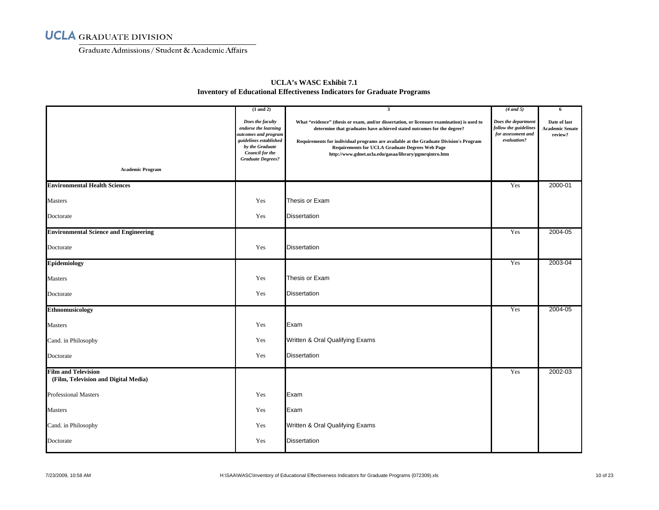Graduate Admissions/ Student & Academic Affairs

|                                                                    | $(1$ and $2)$<br>Does the faculty                                                                                                        | 3                                                                                                                                                                                                                                                                                                                                                                                 | $(4$ and 5)<br>Does the department                         | 6                                                 |
|--------------------------------------------------------------------|------------------------------------------------------------------------------------------------------------------------------------------|-----------------------------------------------------------------------------------------------------------------------------------------------------------------------------------------------------------------------------------------------------------------------------------------------------------------------------------------------------------------------------------|------------------------------------------------------------|---------------------------------------------------|
|                                                                    | endorse the learning<br>outcomes and program<br>guidelines established<br>by the Graduate<br>Council for the<br><b>Graduate Degrees?</b> | What "evidence" (thesis or exam, and/or dissertation, or licensure examination) is used to<br>determine that graduates have achieved stated outcomes for the degree?<br>Requirements for individual programs are available at the Graduate Division's Program<br><b>Requirements for UCLA Graduate Degrees Web Page</b><br>http://www.gdnet.ucla.edu/gasaa/library/pgmrqintro.htm | follow the guidelines<br>for assessment and<br>evaluation? | Date of last<br><b>Academic Senate</b><br>review? |
| <b>Academic Program</b>                                            |                                                                                                                                          |                                                                                                                                                                                                                                                                                                                                                                                   |                                                            |                                                   |
| <b>Environmental Health Sciences</b>                               |                                                                                                                                          |                                                                                                                                                                                                                                                                                                                                                                                   | Yes                                                        | 2000-01                                           |
| <b>Masters</b>                                                     | Yes                                                                                                                                      | Thesis or Exam                                                                                                                                                                                                                                                                                                                                                                    |                                                            |                                                   |
| Doctorate                                                          | Yes                                                                                                                                      | <b>Dissertation</b>                                                                                                                                                                                                                                                                                                                                                               |                                                            |                                                   |
| <b>Environmental Science and Engineering</b>                       |                                                                                                                                          |                                                                                                                                                                                                                                                                                                                                                                                   | Yes                                                        | 2004-05                                           |
| Doctorate                                                          | Yes                                                                                                                                      | <b>Dissertation</b>                                                                                                                                                                                                                                                                                                                                                               |                                                            |                                                   |
| <b>Epidemiology</b>                                                |                                                                                                                                          |                                                                                                                                                                                                                                                                                                                                                                                   | Yes                                                        | 2003-04                                           |
| Masters                                                            | Yes                                                                                                                                      | Thesis or Exam                                                                                                                                                                                                                                                                                                                                                                    |                                                            |                                                   |
| Doctorate                                                          | Yes                                                                                                                                      | <b>Dissertation</b>                                                                                                                                                                                                                                                                                                                                                               |                                                            |                                                   |
| <b>Ethnomusicology</b>                                             |                                                                                                                                          |                                                                                                                                                                                                                                                                                                                                                                                   | Yes                                                        | 2004-05                                           |
| <b>Masters</b>                                                     | Yes                                                                                                                                      | Exam                                                                                                                                                                                                                                                                                                                                                                              |                                                            |                                                   |
| Cand. in Philosophy                                                | Yes                                                                                                                                      | Written & Oral Qualifying Exams                                                                                                                                                                                                                                                                                                                                                   |                                                            |                                                   |
| Doctorate                                                          | Yes                                                                                                                                      | <b>Dissertation</b>                                                                                                                                                                                                                                                                                                                                                               |                                                            |                                                   |
| <b>Film and Television</b><br>(Film, Television and Digital Media) |                                                                                                                                          |                                                                                                                                                                                                                                                                                                                                                                                   | Yes                                                        | 2002-03                                           |
| <b>Professional Masters</b>                                        | Yes                                                                                                                                      | Exam                                                                                                                                                                                                                                                                                                                                                                              |                                                            |                                                   |
| <b>Masters</b>                                                     | Yes                                                                                                                                      | Exam                                                                                                                                                                                                                                                                                                                                                                              |                                                            |                                                   |
| Cand. in Philosophy                                                | Yes                                                                                                                                      | Written & Oral Qualifying Exams                                                                                                                                                                                                                                                                                                                                                   |                                                            |                                                   |
| Doctorate                                                          | Yes                                                                                                                                      | <b>Dissertation</b>                                                                                                                                                                                                                                                                                                                                                               |                                                            |                                                   |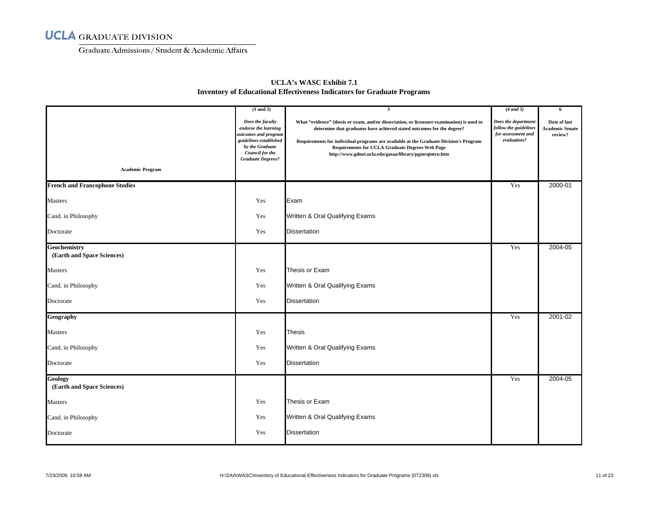Graduate Admissions/ Student & Academic Affairs

| <b>Academic Program</b>                      | $(1$ and $2)$<br>Does the faculty<br>endorse the learning<br>outcomes and program<br>guidelines established<br>by the Graduate<br>Council for the<br><b>Graduate Degrees?</b> | $\overline{\mathbf{3}}$<br>What "evidence" (thesis or exam, and/or dissertation, or licensure examination) is used to<br>determine that graduates have achieved stated outcomes for the degree?<br>Requirements for individual programs are available at the Graduate Division's Program<br><b>Requirements for UCLA Graduate Degrees Web Page</b><br>http://www.gdnet.ucla.edu/gasaa/library/pgmrqintro.htm | $(4$ and 5)<br>Does the department<br>follow the guidelines<br>for assessment and<br>evaluation? | 6<br>Date of last<br><b>Academic Senate</b><br>review? |
|----------------------------------------------|-------------------------------------------------------------------------------------------------------------------------------------------------------------------------------|--------------------------------------------------------------------------------------------------------------------------------------------------------------------------------------------------------------------------------------------------------------------------------------------------------------------------------------------------------------------------------------------------------------|--------------------------------------------------------------------------------------------------|--------------------------------------------------------|
| <b>French and Francophone Studies</b>        |                                                                                                                                                                               |                                                                                                                                                                                                                                                                                                                                                                                                              | Yes                                                                                              | 2000-01                                                |
| <b>Masters</b>                               | Yes                                                                                                                                                                           | Exam                                                                                                                                                                                                                                                                                                                                                                                                         |                                                                                                  |                                                        |
| Cand. in Philosophy                          | Yes                                                                                                                                                                           | Written & Oral Qualifying Exams                                                                                                                                                                                                                                                                                                                                                                              |                                                                                                  |                                                        |
| Doctorate                                    | Yes                                                                                                                                                                           | <b>Dissertation</b>                                                                                                                                                                                                                                                                                                                                                                                          |                                                                                                  |                                                        |
| Geochemistry<br>(Earth and Space Sciences)   |                                                                                                                                                                               |                                                                                                                                                                                                                                                                                                                                                                                                              | Yes                                                                                              | 2004-05                                                |
| <b>Masters</b>                               | Yes                                                                                                                                                                           | Thesis or Exam                                                                                                                                                                                                                                                                                                                                                                                               |                                                                                                  |                                                        |
| Cand. in Philosophy                          | Yes                                                                                                                                                                           | Written & Oral Qualifying Exams                                                                                                                                                                                                                                                                                                                                                                              |                                                                                                  |                                                        |
| Doctorate                                    | Yes                                                                                                                                                                           | <b>Dissertation</b>                                                                                                                                                                                                                                                                                                                                                                                          |                                                                                                  |                                                        |
| Geography                                    |                                                                                                                                                                               |                                                                                                                                                                                                                                                                                                                                                                                                              | Yes                                                                                              | 2001-02                                                |
| Masters                                      | Yes                                                                                                                                                                           | <b>Thesis</b>                                                                                                                                                                                                                                                                                                                                                                                                |                                                                                                  |                                                        |
| Cand. in Philosophy                          | Yes                                                                                                                                                                           | Written & Oral Qualifying Exams                                                                                                                                                                                                                                                                                                                                                                              |                                                                                                  |                                                        |
| Doctorate                                    | Yes                                                                                                                                                                           | <b>Dissertation</b>                                                                                                                                                                                                                                                                                                                                                                                          |                                                                                                  |                                                        |
| <b>Geology</b><br>(Earth and Space Sciences) |                                                                                                                                                                               |                                                                                                                                                                                                                                                                                                                                                                                                              | Yes                                                                                              | 2004-05                                                |
| Masters                                      | Yes                                                                                                                                                                           | Thesis or Exam                                                                                                                                                                                                                                                                                                                                                                                               |                                                                                                  |                                                        |
| Cand. in Philosophy                          | Yes                                                                                                                                                                           | Written & Oral Qualifying Exams                                                                                                                                                                                                                                                                                                                                                                              |                                                                                                  |                                                        |
| Doctorate                                    | Yes                                                                                                                                                                           | <b>Dissertation</b>                                                                                                                                                                                                                                                                                                                                                                                          |                                                                                                  |                                                        |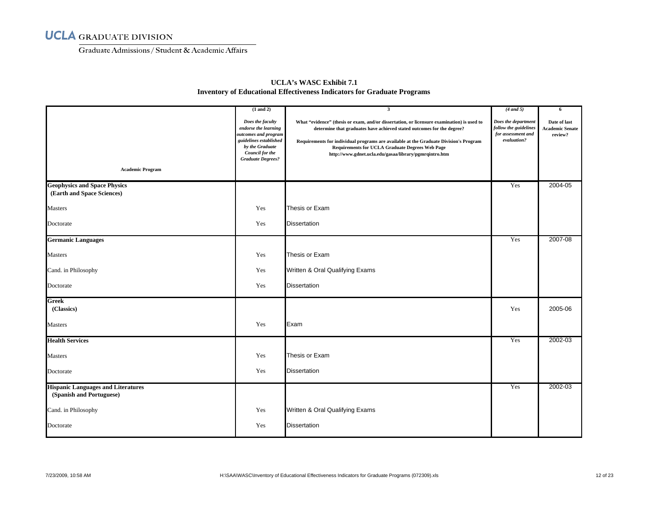Graduate Admissions/ Student & Academic Affairs

|                                                                       | $(1$ and $2)$                                                                                                                                                | $\overline{\mathbf{3}}$                                                                                                                                                                                                                                                                                                                                                           | $(4$ and 5)                                                                       | 6                                                 |
|-----------------------------------------------------------------------|--------------------------------------------------------------------------------------------------------------------------------------------------------------|-----------------------------------------------------------------------------------------------------------------------------------------------------------------------------------------------------------------------------------------------------------------------------------------------------------------------------------------------------------------------------------|-----------------------------------------------------------------------------------|---------------------------------------------------|
| <b>Academic Program</b>                                               | Does the faculty<br>endorse the learning<br>outcomes and program<br>guidelines established<br>by the Graduate<br>Council for the<br><b>Graduate Degrees?</b> | What "evidence" (thesis or exam, and/or dissertation, or licensure examination) is used to<br>determine that graduates have achieved stated outcomes for the degree?<br>Requirements for individual programs are available at the Graduate Division's Program<br><b>Requirements for UCLA Graduate Degrees Web Page</b><br>http://www.gdnet.ucla.edu/gasaa/library/pgmrqintro.htm | Does the department<br>follow the guidelines<br>for assessment and<br>evaluation? | Date of last<br><b>Academic Senate</b><br>review? |
| <b>Geophysics and Space Physics</b>                                   |                                                                                                                                                              |                                                                                                                                                                                                                                                                                                                                                                                   | Yes                                                                               | 2004-05                                           |
| (Earth and Space Sciences)                                            |                                                                                                                                                              |                                                                                                                                                                                                                                                                                                                                                                                   |                                                                                   |                                                   |
| Masters                                                               | Yes                                                                                                                                                          | Thesis or Exam                                                                                                                                                                                                                                                                                                                                                                    |                                                                                   |                                                   |
| Doctorate                                                             | Yes                                                                                                                                                          | <b>Dissertation</b>                                                                                                                                                                                                                                                                                                                                                               |                                                                                   |                                                   |
| <b>Germanic Languages</b>                                             |                                                                                                                                                              |                                                                                                                                                                                                                                                                                                                                                                                   | Yes                                                                               | 2007-08                                           |
| Masters                                                               | Yes                                                                                                                                                          | Thesis or Exam                                                                                                                                                                                                                                                                                                                                                                    |                                                                                   |                                                   |
| Cand. in Philosophy                                                   | Yes                                                                                                                                                          | Written & Oral Qualifying Exams                                                                                                                                                                                                                                                                                                                                                   |                                                                                   |                                                   |
| Doctorate                                                             | Yes                                                                                                                                                          | <b>Dissertation</b>                                                                                                                                                                                                                                                                                                                                                               |                                                                                   |                                                   |
| <b>Greek</b><br>(Classics)                                            |                                                                                                                                                              |                                                                                                                                                                                                                                                                                                                                                                                   | Yes                                                                               | 2005-06                                           |
| Masters                                                               | Yes                                                                                                                                                          | Exam                                                                                                                                                                                                                                                                                                                                                                              |                                                                                   |                                                   |
| <b>Health Services</b>                                                |                                                                                                                                                              |                                                                                                                                                                                                                                                                                                                                                                                   | Yes                                                                               | 2002-03                                           |
| <b>Masters</b>                                                        | Yes                                                                                                                                                          | Thesis or Exam                                                                                                                                                                                                                                                                                                                                                                    |                                                                                   |                                                   |
| Doctorate                                                             | Yes                                                                                                                                                          | <b>Dissertation</b>                                                                                                                                                                                                                                                                                                                                                               |                                                                                   |                                                   |
| <b>Hispanic Languages and Literatures</b><br>(Spanish and Portuguese) |                                                                                                                                                              |                                                                                                                                                                                                                                                                                                                                                                                   | Yes                                                                               | 2002-03                                           |
| Cand. in Philosophy                                                   | Yes                                                                                                                                                          | Written & Oral Qualifying Exams                                                                                                                                                                                                                                                                                                                                                   |                                                                                   |                                                   |
| Doctorate                                                             | Yes                                                                                                                                                          | <b>Dissertation</b>                                                                                                                                                                                                                                                                                                                                                               |                                                                                   |                                                   |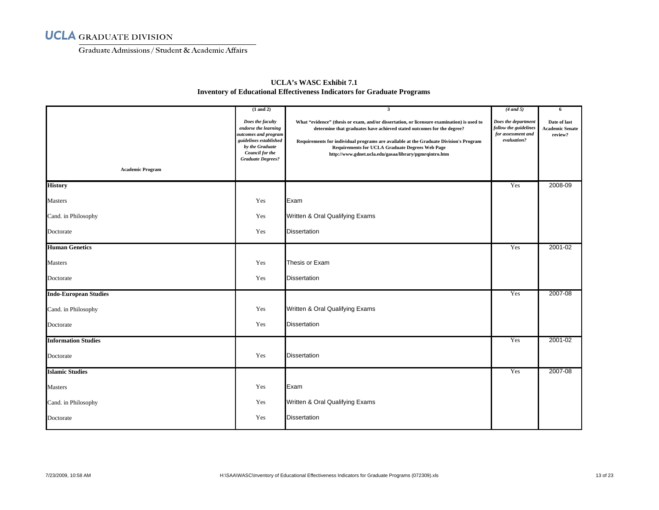Graduate Admissions/ Student & Academic Affairs

|                              | $(1$ and $2)$                                                                                                                                                       | $\overline{\mathbf{3}}$                                                                                                                                                                                                                                                                                                                                                           | $(4$ and 5)                                                                       | 6                                                 |
|------------------------------|---------------------------------------------------------------------------------------------------------------------------------------------------------------------|-----------------------------------------------------------------------------------------------------------------------------------------------------------------------------------------------------------------------------------------------------------------------------------------------------------------------------------------------------------------------------------|-----------------------------------------------------------------------------------|---------------------------------------------------|
|                              | Does the faculty<br>endorse the learning<br>outcomes and program<br>guidelines established<br>by the Graduate<br><b>Council for the</b><br><b>Graduate Degrees?</b> | What "evidence" (thesis or exam, and/or dissertation, or licensure examination) is used to<br>determine that graduates have achieved stated outcomes for the degree?<br>Requirements for individual programs are available at the Graduate Division's Program<br><b>Requirements for UCLA Graduate Degrees Web Page</b><br>http://www.gdnet.ucla.edu/gasaa/library/pgmrqintro.htm | Does the department<br>follow the guidelines<br>for assessment and<br>evaluation? | Date of last<br><b>Academic Senate</b><br>review? |
| <b>Academic Program</b>      |                                                                                                                                                                     |                                                                                                                                                                                                                                                                                                                                                                                   |                                                                                   |                                                   |
| <b>History</b>               |                                                                                                                                                                     |                                                                                                                                                                                                                                                                                                                                                                                   | Yes                                                                               | 2008-09                                           |
| Masters                      | Yes                                                                                                                                                                 | Exam                                                                                                                                                                                                                                                                                                                                                                              |                                                                                   |                                                   |
| Cand. in Philosophy          | Yes                                                                                                                                                                 | Written & Oral Qualifying Exams                                                                                                                                                                                                                                                                                                                                                   |                                                                                   |                                                   |
| Doctorate                    | Yes                                                                                                                                                                 | <b>Dissertation</b>                                                                                                                                                                                                                                                                                                                                                               |                                                                                   |                                                   |
| <b>Human Genetics</b>        |                                                                                                                                                                     |                                                                                                                                                                                                                                                                                                                                                                                   | Yes                                                                               | 2001-02                                           |
| <b>Masters</b>               | Yes                                                                                                                                                                 | Thesis or Exam                                                                                                                                                                                                                                                                                                                                                                    |                                                                                   |                                                   |
| Doctorate                    | Yes                                                                                                                                                                 | <b>Dissertation</b>                                                                                                                                                                                                                                                                                                                                                               |                                                                                   |                                                   |
| <b>Indo-European Studies</b> |                                                                                                                                                                     |                                                                                                                                                                                                                                                                                                                                                                                   | Yes                                                                               | 2007-08                                           |
| Cand. in Philosophy          | Yes                                                                                                                                                                 | Written & Oral Qualifying Exams                                                                                                                                                                                                                                                                                                                                                   |                                                                                   |                                                   |
| Doctorate                    | Yes                                                                                                                                                                 | <b>Dissertation</b>                                                                                                                                                                                                                                                                                                                                                               |                                                                                   |                                                   |
| <b>Information Studies</b>   |                                                                                                                                                                     |                                                                                                                                                                                                                                                                                                                                                                                   | Yes                                                                               | 2001-02                                           |
| Doctorate                    | Yes                                                                                                                                                                 | <b>Dissertation</b>                                                                                                                                                                                                                                                                                                                                                               |                                                                                   |                                                   |
| <b>Islamic Studies</b>       |                                                                                                                                                                     |                                                                                                                                                                                                                                                                                                                                                                                   | Yes                                                                               | 2007-08                                           |
| <b>Masters</b>               | Yes                                                                                                                                                                 | Exam                                                                                                                                                                                                                                                                                                                                                                              |                                                                                   |                                                   |
| Cand. in Philosophy          | Yes                                                                                                                                                                 | Written & Oral Qualifying Exams                                                                                                                                                                                                                                                                                                                                                   |                                                                                   |                                                   |
| Doctorate                    | Yes                                                                                                                                                                 | <b>Dissertation</b>                                                                                                                                                                                                                                                                                                                                                               |                                                                                   |                                                   |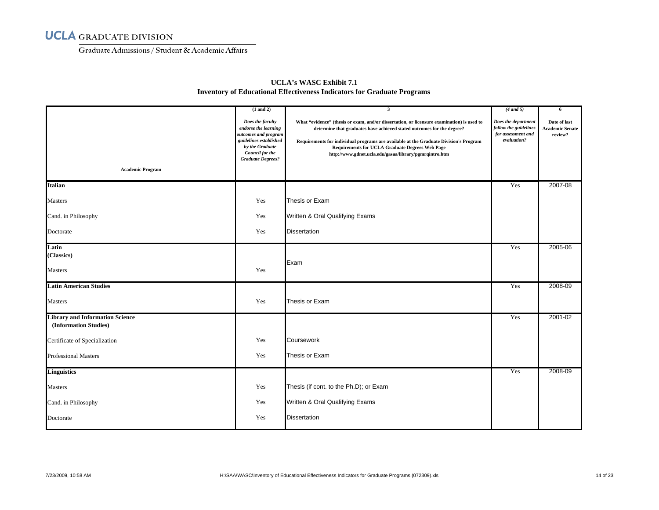Graduate Admissions/ Student & Academic Affairs

|                                                                 | $(1$ and $2)$                                                                                                                                                | $\overline{\mathbf{3}}$                                                                                                                                                                                                                                                                                                                                                           | $(4$ and 5)                                                                       | 6                                                 |
|-----------------------------------------------------------------|--------------------------------------------------------------------------------------------------------------------------------------------------------------|-----------------------------------------------------------------------------------------------------------------------------------------------------------------------------------------------------------------------------------------------------------------------------------------------------------------------------------------------------------------------------------|-----------------------------------------------------------------------------------|---------------------------------------------------|
|                                                                 | Does the faculty<br>endorse the learning<br>outcomes and program<br>guidelines established<br>by the Graduate<br>Council for the<br><b>Graduate Degrees?</b> | What "evidence" (thesis or exam, and/or dissertation, or licensure examination) is used to<br>determine that graduates have achieved stated outcomes for the degree?<br>Requirements for individual programs are available at the Graduate Division's Program<br><b>Requirements for UCLA Graduate Degrees Web Page</b><br>http://www.gdnet.ucla.edu/gasaa/library/pgmrqintro.htm | Does the department<br>follow the guidelines<br>for assessment and<br>evaluation? | Date of last<br><b>Academic Senate</b><br>review? |
| <b>Academic Program</b>                                         |                                                                                                                                                              |                                                                                                                                                                                                                                                                                                                                                                                   |                                                                                   |                                                   |
| <b>Italian</b>                                                  |                                                                                                                                                              |                                                                                                                                                                                                                                                                                                                                                                                   | Yes                                                                               | 2007-08                                           |
| Masters                                                         | Yes                                                                                                                                                          | Thesis or Exam                                                                                                                                                                                                                                                                                                                                                                    |                                                                                   |                                                   |
| Cand. in Philosophy                                             | Yes                                                                                                                                                          | Written & Oral Qualifying Exams                                                                                                                                                                                                                                                                                                                                                   |                                                                                   |                                                   |
| Doctorate                                                       | Yes                                                                                                                                                          | <b>Dissertation</b>                                                                                                                                                                                                                                                                                                                                                               |                                                                                   |                                                   |
| Latin<br>(Classics)                                             |                                                                                                                                                              | Exam                                                                                                                                                                                                                                                                                                                                                                              | Yes                                                                               | 2005-06                                           |
| <b>Masters</b>                                                  | Yes                                                                                                                                                          |                                                                                                                                                                                                                                                                                                                                                                                   |                                                                                   |                                                   |
| <b>Latin American Studies</b>                                   |                                                                                                                                                              |                                                                                                                                                                                                                                                                                                                                                                                   | Yes                                                                               | 2008-09                                           |
| Masters                                                         | Yes                                                                                                                                                          | Thesis or Exam                                                                                                                                                                                                                                                                                                                                                                    |                                                                                   |                                                   |
| <b>Library and Information Science</b><br>(Information Studies) |                                                                                                                                                              |                                                                                                                                                                                                                                                                                                                                                                                   | Yes                                                                               | 2001-02                                           |
| Certificate of Specialization                                   | Yes                                                                                                                                                          | Coursework                                                                                                                                                                                                                                                                                                                                                                        |                                                                                   |                                                   |
| <b>Professional Masters</b>                                     | Yes                                                                                                                                                          | Thesis or Exam                                                                                                                                                                                                                                                                                                                                                                    |                                                                                   |                                                   |
| <b>Linguistics</b>                                              |                                                                                                                                                              |                                                                                                                                                                                                                                                                                                                                                                                   | Yes                                                                               | 2008-09                                           |
| Masters                                                         | Yes                                                                                                                                                          | Thesis (if cont. to the Ph.D); or Exam                                                                                                                                                                                                                                                                                                                                            |                                                                                   |                                                   |
| Cand. in Philosophy                                             | Yes                                                                                                                                                          | Written & Oral Qualifying Exams                                                                                                                                                                                                                                                                                                                                                   |                                                                                   |                                                   |
| Doctorate                                                       | Yes                                                                                                                                                          | <b>Dissertation</b>                                                                                                                                                                                                                                                                                                                                                               |                                                                                   |                                                   |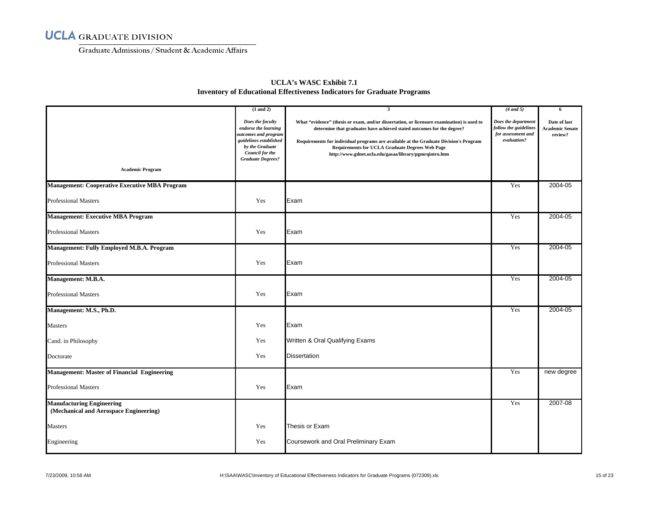Graduate Admissions/ Student & Academic Affairs

| <b>UCLA's WASC Exhibit 7.1</b>                                                 |
|--------------------------------------------------------------------------------|
| <b>Inventory of Educational Effectiveness Indicators for Graduate Programs</b> |

|                                                                            | $(1$ and $2)$                                                                                                                                                | $\mathbf{3}$                                                                                                                                                                                                                                                                                                                                                                      | $(4$ and 5)                                                                       | 6                                                 |
|----------------------------------------------------------------------------|--------------------------------------------------------------------------------------------------------------------------------------------------------------|-----------------------------------------------------------------------------------------------------------------------------------------------------------------------------------------------------------------------------------------------------------------------------------------------------------------------------------------------------------------------------------|-----------------------------------------------------------------------------------|---------------------------------------------------|
| <b>Academic Program</b>                                                    | Does the faculty<br>endorse the learning<br>outcomes and program<br>guidelines established<br>by the Graduate<br>Council for the<br><b>Graduate Degrees?</b> | What "evidence" (thesis or exam, and/or dissertation, or licensure examination) is used to<br>determine that graduates have achieved stated outcomes for the degree?<br>Requirements for individual programs are available at the Graduate Division's Program<br><b>Requirements for UCLA Graduate Degrees Web Page</b><br>http://www.gdnet.ucla.edu/gasaa/library/pgmrqintro.htm | Does the department<br>follow the guidelines<br>for assessment and<br>evaluation? | Date of last<br><b>Academic Senate</b><br>review? |
|                                                                            |                                                                                                                                                              |                                                                                                                                                                                                                                                                                                                                                                                   |                                                                                   |                                                   |
| <b>Management: Cooperative Executive MBA Program</b>                       |                                                                                                                                                              |                                                                                                                                                                                                                                                                                                                                                                                   | Yes                                                                               | 2004-05                                           |
| <b>Professional Masters</b>                                                | Yes                                                                                                                                                          | Exam                                                                                                                                                                                                                                                                                                                                                                              |                                                                                   |                                                   |
| <b>Management: Executive MBA Program</b>                                   |                                                                                                                                                              |                                                                                                                                                                                                                                                                                                                                                                                   | Yes                                                                               | 2004-05                                           |
| <b>Professional Masters</b>                                                | Yes                                                                                                                                                          | Exam                                                                                                                                                                                                                                                                                                                                                                              |                                                                                   |                                                   |
| <b>Management: Fully Employed M.B.A. Program</b>                           |                                                                                                                                                              |                                                                                                                                                                                                                                                                                                                                                                                   | Yes                                                                               | 2004-05                                           |
| <b>Professional Masters</b>                                                | Yes                                                                                                                                                          | Exam                                                                                                                                                                                                                                                                                                                                                                              |                                                                                   |                                                   |
| Management: M.B.A.                                                         |                                                                                                                                                              |                                                                                                                                                                                                                                                                                                                                                                                   | Yes                                                                               | 2004-05                                           |
| Professional Masters                                                       | Yes                                                                                                                                                          | Exam                                                                                                                                                                                                                                                                                                                                                                              |                                                                                   |                                                   |
| Management: M.S., Ph.D.                                                    |                                                                                                                                                              |                                                                                                                                                                                                                                                                                                                                                                                   | Yes                                                                               | 2004-05                                           |
| <b>Masters</b>                                                             | Yes                                                                                                                                                          | Exam                                                                                                                                                                                                                                                                                                                                                                              |                                                                                   |                                                   |
| Cand. in Philosophy                                                        | Yes                                                                                                                                                          | Written & Oral Qualifying Exams                                                                                                                                                                                                                                                                                                                                                   |                                                                                   |                                                   |
| Doctorate                                                                  | Yes                                                                                                                                                          | <b>Dissertation</b>                                                                                                                                                                                                                                                                                                                                                               |                                                                                   |                                                   |
| <b>Management: Master of Financial Engineering</b>                         |                                                                                                                                                              |                                                                                                                                                                                                                                                                                                                                                                                   | Yes                                                                               | new degree                                        |
| <b>Professional Masters</b>                                                | Yes                                                                                                                                                          | Exam                                                                                                                                                                                                                                                                                                                                                                              |                                                                                   |                                                   |
| <b>Manufacturing Engineering</b><br>(Mechanical and Aerospace Engineering) |                                                                                                                                                              |                                                                                                                                                                                                                                                                                                                                                                                   | Yes                                                                               | $2007 - 08$                                       |
| <b>Masters</b>                                                             | Yes                                                                                                                                                          | Thesis or Exam                                                                                                                                                                                                                                                                                                                                                                    |                                                                                   |                                                   |
| Engineering                                                                | Yes                                                                                                                                                          | Coursework and Oral Preliminary Exam                                                                                                                                                                                                                                                                                                                                              |                                                                                   |                                                   |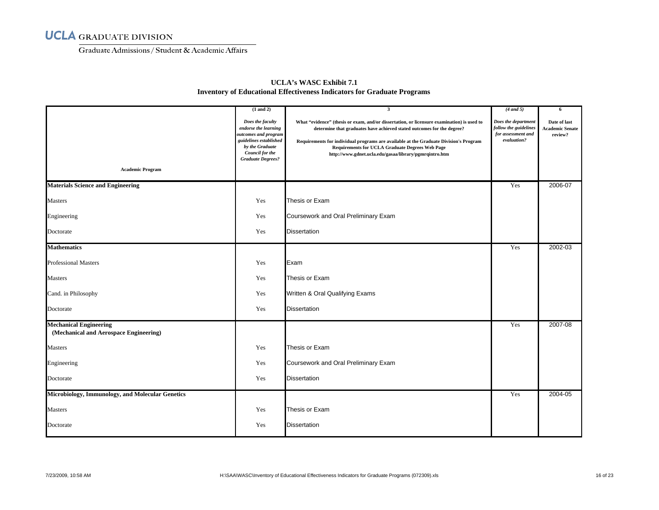Graduate Admissions/ Student & Academic Affairs

|                                                                         | $(1$ and $2)$                                                                                                                                                | $\overline{\mathbf{3}}$                                                                                                                                                                                                                                                                                                                                                           | $(4$ and 5)                                                                       | 6                                                 |
|-------------------------------------------------------------------------|--------------------------------------------------------------------------------------------------------------------------------------------------------------|-----------------------------------------------------------------------------------------------------------------------------------------------------------------------------------------------------------------------------------------------------------------------------------------------------------------------------------------------------------------------------------|-----------------------------------------------------------------------------------|---------------------------------------------------|
|                                                                         | Does the faculty<br>endorse the learning<br>outcomes and program<br>guidelines established<br>by the Graduate<br>Council for the<br><b>Graduate Degrees?</b> | What "evidence" (thesis or exam, and/or dissertation, or licensure examination) is used to<br>determine that graduates have achieved stated outcomes for the degree?<br>Requirements for individual programs are available at the Graduate Division's Program<br><b>Requirements for UCLA Graduate Degrees Web Page</b><br>http://www.gdnet.ucla.edu/gasaa/library/pgmrqintro.htm | Does the department<br>follow the guidelines<br>for assessment and<br>evaluation? | Date of last<br><b>Academic Senate</b><br>review? |
| <b>Academic Program</b>                                                 |                                                                                                                                                              |                                                                                                                                                                                                                                                                                                                                                                                   |                                                                                   |                                                   |
| <b>Materials Science and Engineering</b>                                |                                                                                                                                                              |                                                                                                                                                                                                                                                                                                                                                                                   | Yes                                                                               | 2006-07                                           |
| Masters                                                                 | Yes                                                                                                                                                          | Thesis or Exam                                                                                                                                                                                                                                                                                                                                                                    |                                                                                   |                                                   |
| Engineering                                                             | Yes                                                                                                                                                          | Coursework and Oral Preliminary Exam                                                                                                                                                                                                                                                                                                                                              |                                                                                   |                                                   |
| Doctorate                                                               | Yes                                                                                                                                                          | <b>Dissertation</b>                                                                                                                                                                                                                                                                                                                                                               |                                                                                   |                                                   |
| <b>Mathematics</b>                                                      |                                                                                                                                                              |                                                                                                                                                                                                                                                                                                                                                                                   | Yes                                                                               | 2002-03                                           |
| <b>Professional Masters</b>                                             | Yes                                                                                                                                                          | Exam                                                                                                                                                                                                                                                                                                                                                                              |                                                                                   |                                                   |
| <b>Masters</b>                                                          | Yes                                                                                                                                                          | Thesis or Exam                                                                                                                                                                                                                                                                                                                                                                    |                                                                                   |                                                   |
| Cand. in Philosophy                                                     | Yes                                                                                                                                                          | Written & Oral Qualifying Exams                                                                                                                                                                                                                                                                                                                                                   |                                                                                   |                                                   |
| Doctorate                                                               | Yes                                                                                                                                                          | <b>Dissertation</b>                                                                                                                                                                                                                                                                                                                                                               |                                                                                   |                                                   |
| <b>Mechanical Engineering</b><br>(Mechanical and Aerospace Engineering) |                                                                                                                                                              |                                                                                                                                                                                                                                                                                                                                                                                   | Yes                                                                               | 2007-08                                           |
| Masters                                                                 | Yes                                                                                                                                                          | Thesis or Exam                                                                                                                                                                                                                                                                                                                                                                    |                                                                                   |                                                   |
| Engineering                                                             | Yes                                                                                                                                                          | Coursework and Oral Preliminary Exam                                                                                                                                                                                                                                                                                                                                              |                                                                                   |                                                   |
| Doctorate                                                               | Yes                                                                                                                                                          | <b>Dissertation</b>                                                                                                                                                                                                                                                                                                                                                               |                                                                                   |                                                   |
| Microbiology, Immunology, and Molecular Genetics                        |                                                                                                                                                              |                                                                                                                                                                                                                                                                                                                                                                                   | Yes                                                                               | 2004-05                                           |
| <b>Masters</b>                                                          | Yes                                                                                                                                                          | Thesis or Exam                                                                                                                                                                                                                                                                                                                                                                    |                                                                                   |                                                   |
| Doctorate                                                               | Yes                                                                                                                                                          | <b>Dissertation</b>                                                                                                                                                                                                                                                                                                                                                               |                                                                                   |                                                   |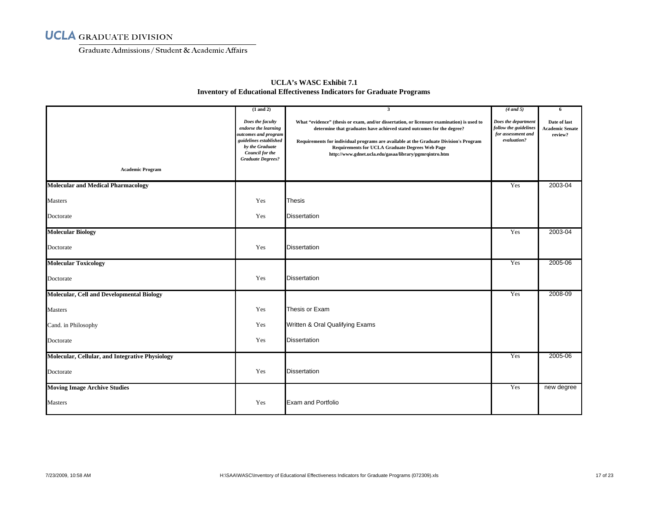Graduate Admissions/ Student & Academic Affairs

|                                                  | $(1$ and $2)$                                                                                                                                                       | 3                                                                                                                                                                                                                                                                                                                                                                                 | $(4 \text{ and } 5)$                                                              | 6                                                 |
|--------------------------------------------------|---------------------------------------------------------------------------------------------------------------------------------------------------------------------|-----------------------------------------------------------------------------------------------------------------------------------------------------------------------------------------------------------------------------------------------------------------------------------------------------------------------------------------------------------------------------------|-----------------------------------------------------------------------------------|---------------------------------------------------|
|                                                  | Does the faculty<br>endorse the learning<br>outcomes and program<br>guidelines established<br>by the Graduate<br><b>Council for the</b><br><b>Graduate Degrees?</b> | What "evidence" (thesis or exam, and/or dissertation, or licensure examination) is used to<br>determine that graduates have achieved stated outcomes for the degree?<br>Requirements for individual programs are available at the Graduate Division's Program<br><b>Requirements for UCLA Graduate Degrees Web Page</b><br>http://www.gdnet.ucla.edu/gasaa/library/pgmrqintro.htm | Does the department<br>follow the guidelines<br>for assessment and<br>evaluation? | Date of last<br><b>Academic Senate</b><br>review? |
| <b>Academic Program</b>                          |                                                                                                                                                                     |                                                                                                                                                                                                                                                                                                                                                                                   |                                                                                   |                                                   |
| <b>Molecular and Medical Pharmacology</b>        |                                                                                                                                                                     |                                                                                                                                                                                                                                                                                                                                                                                   | Yes                                                                               | 2003-04                                           |
| <b>Masters</b>                                   | Yes                                                                                                                                                                 | <b>Thesis</b>                                                                                                                                                                                                                                                                                                                                                                     |                                                                                   |                                                   |
| Doctorate                                        | Yes                                                                                                                                                                 | <b>Dissertation</b>                                                                                                                                                                                                                                                                                                                                                               |                                                                                   |                                                   |
| <b>Molecular Biology</b>                         |                                                                                                                                                                     |                                                                                                                                                                                                                                                                                                                                                                                   | Yes                                                                               | 2003-04                                           |
| Doctorate                                        | Yes                                                                                                                                                                 | <b>Dissertation</b>                                                                                                                                                                                                                                                                                                                                                               |                                                                                   |                                                   |
| <b>Molecular Toxicology</b>                      |                                                                                                                                                                     |                                                                                                                                                                                                                                                                                                                                                                                   | Yes                                                                               | 2005-06                                           |
| Doctorate                                        | Yes                                                                                                                                                                 | <b>Dissertation</b>                                                                                                                                                                                                                                                                                                                                                               |                                                                                   |                                                   |
| <b>Molecular, Cell and Developmental Biology</b> |                                                                                                                                                                     |                                                                                                                                                                                                                                                                                                                                                                                   | Yes                                                                               | 2008-09                                           |
| <b>Masters</b>                                   | Yes                                                                                                                                                                 | Thesis or Exam                                                                                                                                                                                                                                                                                                                                                                    |                                                                                   |                                                   |
| Cand. in Philosophy                              | Yes                                                                                                                                                                 | Written & Oral Qualifying Exams                                                                                                                                                                                                                                                                                                                                                   |                                                                                   |                                                   |
| Doctorate                                        | Yes                                                                                                                                                                 | <b>Dissertation</b>                                                                                                                                                                                                                                                                                                                                                               |                                                                                   |                                                   |
| Molecular, Cellular, and Integrative Physiology  |                                                                                                                                                                     |                                                                                                                                                                                                                                                                                                                                                                                   | Yes                                                                               | 2005-06                                           |
| Doctorate                                        | Yes                                                                                                                                                                 | <b>Dissertation</b>                                                                                                                                                                                                                                                                                                                                                               |                                                                                   |                                                   |
| <b>Moving Image Archive Studies</b>              |                                                                                                                                                                     |                                                                                                                                                                                                                                                                                                                                                                                   | Yes                                                                               | new degree                                        |
| Masters                                          | Yes                                                                                                                                                                 | <b>Exam and Portfolio</b>                                                                                                                                                                                                                                                                                                                                                         |                                                                                   |                                                   |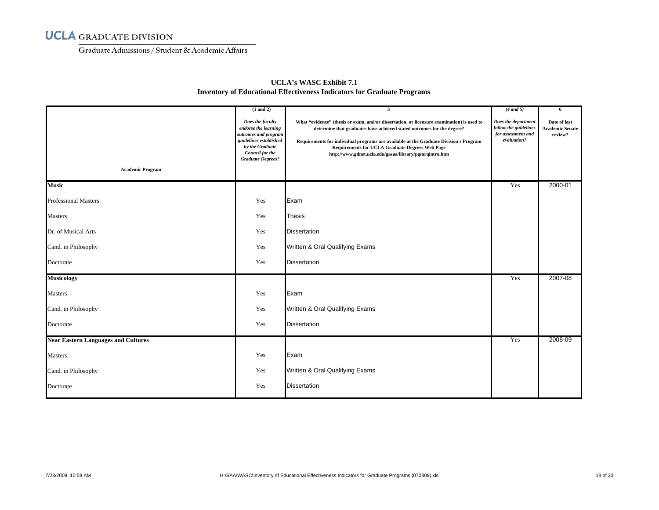Graduate Admissions/ Student & Academic Affairs

| <b>Academic Program</b>                    | $(1$ and $2)$<br>Does the faculty<br>endorse the learning<br>outcomes and program<br>guidelines established<br>by the Graduate<br>Council for the<br><b>Graduate Degrees?</b> | $\mathbf{3}$<br>What "evidence" (thesis or exam, and/or dissertation, or licensure examination) is used to<br>determine that graduates have achieved stated outcomes for the degree?<br>Requirements for individual programs are available at the Graduate Division's Program<br><b>Requirements for UCLA Graduate Degrees Web Page</b><br>http://www.gdnet.ucla.edu/gasaa/library/pgmrqintro.htm | $(4$ and 5)<br>Does the department<br>follow the guidelines<br>for assessment and<br>evaluation? | 6<br>Date of last<br><b>Academic Senate</b><br>review? |
|--------------------------------------------|-------------------------------------------------------------------------------------------------------------------------------------------------------------------------------|---------------------------------------------------------------------------------------------------------------------------------------------------------------------------------------------------------------------------------------------------------------------------------------------------------------------------------------------------------------------------------------------------|--------------------------------------------------------------------------------------------------|--------------------------------------------------------|
| <b>Music</b>                               |                                                                                                                                                                               |                                                                                                                                                                                                                                                                                                                                                                                                   | Yes                                                                                              | 2000-01                                                |
| <b>Professional Masters</b>                | Yes                                                                                                                                                                           | Exam                                                                                                                                                                                                                                                                                                                                                                                              |                                                                                                  |                                                        |
| <b>Masters</b>                             | Yes                                                                                                                                                                           | <b>Thesis</b>                                                                                                                                                                                                                                                                                                                                                                                     |                                                                                                  |                                                        |
| Dr. of Musical Arts                        | Yes                                                                                                                                                                           | <b>Dissertation</b>                                                                                                                                                                                                                                                                                                                                                                               |                                                                                                  |                                                        |
| Cand. in Philosophy                        | Yes                                                                                                                                                                           | Written & Oral Qualifying Exams                                                                                                                                                                                                                                                                                                                                                                   |                                                                                                  |                                                        |
| Doctorate                                  | Yes                                                                                                                                                                           | <b>Dissertation</b>                                                                                                                                                                                                                                                                                                                                                                               |                                                                                                  |                                                        |
| <b>Musicology</b>                          |                                                                                                                                                                               |                                                                                                                                                                                                                                                                                                                                                                                                   | Yes                                                                                              | 2007-08                                                |
| Masters                                    | Yes                                                                                                                                                                           | Exam                                                                                                                                                                                                                                                                                                                                                                                              |                                                                                                  |                                                        |
| Cand. in Philosophy                        | Yes                                                                                                                                                                           | Written & Oral Qualifying Exams                                                                                                                                                                                                                                                                                                                                                                   |                                                                                                  |                                                        |
| Doctorate                                  | Yes                                                                                                                                                                           | <b>Dissertation</b>                                                                                                                                                                                                                                                                                                                                                                               |                                                                                                  |                                                        |
| <b>Near Eastern Languages and Cultures</b> |                                                                                                                                                                               |                                                                                                                                                                                                                                                                                                                                                                                                   | Yes                                                                                              | 2008-09                                                |
| <b>Masters</b>                             | Yes                                                                                                                                                                           | Exam                                                                                                                                                                                                                                                                                                                                                                                              |                                                                                                  |                                                        |
| Cand. in Philosophy                        | Yes                                                                                                                                                                           | Written & Oral Qualifying Exams                                                                                                                                                                                                                                                                                                                                                                   |                                                                                                  |                                                        |
| Doctorate                                  | Yes                                                                                                                                                                           | <b>Dissertation</b>                                                                                                                                                                                                                                                                                                                                                                               |                                                                                                  |                                                        |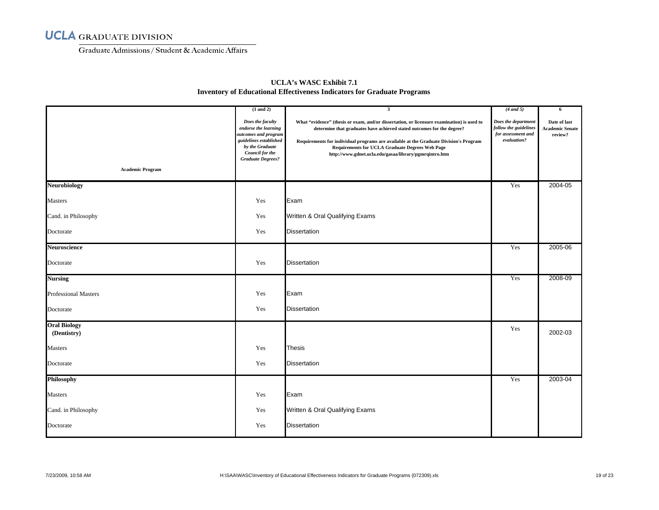Graduate Admissions/ Student & Academic Affairs

|                                    | $(1$ and $2)$                                                                                                                                                | $\overline{\mathbf{3}}$                                                                                                                                                                                                                                                                                                                                                           | $(4$ and 5)                                                                       | 6                                                 |
|------------------------------------|--------------------------------------------------------------------------------------------------------------------------------------------------------------|-----------------------------------------------------------------------------------------------------------------------------------------------------------------------------------------------------------------------------------------------------------------------------------------------------------------------------------------------------------------------------------|-----------------------------------------------------------------------------------|---------------------------------------------------|
| <b>Academic Program</b>            | Does the faculty<br>endorse the learning<br>outcomes and program<br>guidelines established<br>by the Graduate<br>Council for the<br><b>Graduate Degrees?</b> | What "evidence" (thesis or exam, and/or dissertation, or licensure examination) is used to<br>determine that graduates have achieved stated outcomes for the degree?<br>Requirements for individual programs are available at the Graduate Division's Program<br><b>Requirements for UCLA Graduate Degrees Web Page</b><br>http://www.gdnet.ucla.edu/gasaa/library/pgmrqintro.htm | Does the department<br>follow the guidelines<br>for assessment and<br>evaluation? | Date of last<br><b>Academic Senate</b><br>review? |
| <b>Neurobiology</b>                |                                                                                                                                                              |                                                                                                                                                                                                                                                                                                                                                                                   | Yes                                                                               | 2004-05                                           |
| Masters                            | Yes                                                                                                                                                          | Exam                                                                                                                                                                                                                                                                                                                                                                              |                                                                                   |                                                   |
| Cand. in Philosophy                | Yes                                                                                                                                                          | Written & Oral Qualifying Exams                                                                                                                                                                                                                                                                                                                                                   |                                                                                   |                                                   |
| Doctorate                          | Yes                                                                                                                                                          | Dissertation                                                                                                                                                                                                                                                                                                                                                                      |                                                                                   |                                                   |
| Neuroscience                       |                                                                                                                                                              |                                                                                                                                                                                                                                                                                                                                                                                   | Yes                                                                               | 2005-06                                           |
| Doctorate                          | Yes                                                                                                                                                          | <b>Dissertation</b>                                                                                                                                                                                                                                                                                                                                                               |                                                                                   |                                                   |
| <b>Nursing</b>                     |                                                                                                                                                              |                                                                                                                                                                                                                                                                                                                                                                                   | Yes                                                                               | 2008-09                                           |
| <b>Professional Masters</b>        | Yes                                                                                                                                                          | Exam                                                                                                                                                                                                                                                                                                                                                                              |                                                                                   |                                                   |
| Doctorate                          | Yes                                                                                                                                                          | <b>Dissertation</b>                                                                                                                                                                                                                                                                                                                                                               |                                                                                   |                                                   |
| <b>Oral Biology</b><br>(Dentistry) |                                                                                                                                                              |                                                                                                                                                                                                                                                                                                                                                                                   | Yes                                                                               | 2002-03                                           |
| Masters                            | Yes                                                                                                                                                          | <b>Thesis</b>                                                                                                                                                                                                                                                                                                                                                                     |                                                                                   |                                                   |
| Doctorate                          | Yes                                                                                                                                                          | <b>Dissertation</b>                                                                                                                                                                                                                                                                                                                                                               |                                                                                   |                                                   |
| Philosophy                         |                                                                                                                                                              |                                                                                                                                                                                                                                                                                                                                                                                   | Yes                                                                               | 2003-04                                           |
| Masters                            | Yes                                                                                                                                                          | Exam                                                                                                                                                                                                                                                                                                                                                                              |                                                                                   |                                                   |
| Cand. in Philosophy                | Yes                                                                                                                                                          | Written & Oral Qualifying Exams                                                                                                                                                                                                                                                                                                                                                   |                                                                                   |                                                   |
| Doctorate                          | Yes                                                                                                                                                          | <b>Dissertation</b>                                                                                                                                                                                                                                                                                                                                                               |                                                                                   |                                                   |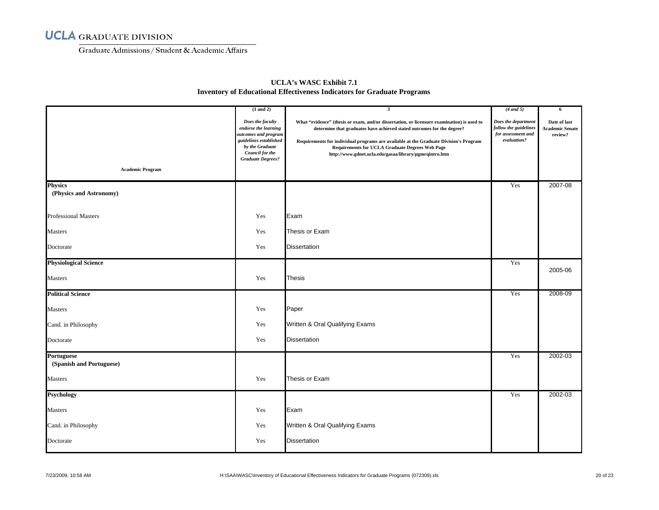Graduate Admissions/ Student & Academic Affairs

|                                        | $(1$ and $2)$                                                                                                                                                | $\overline{\mathbf{3}}$                                                                                                                                                                                                                                                                                                                                                           | $(4$ and 5)                                                                       | 6                                                 |
|----------------------------------------|--------------------------------------------------------------------------------------------------------------------------------------------------------------|-----------------------------------------------------------------------------------------------------------------------------------------------------------------------------------------------------------------------------------------------------------------------------------------------------------------------------------------------------------------------------------|-----------------------------------------------------------------------------------|---------------------------------------------------|
| <b>Academic Program</b>                | Does the faculty<br>endorse the learning<br>outcomes and program<br>guidelines established<br>by the Graduate<br>Council for the<br><b>Graduate Degrees?</b> | What "evidence" (thesis or exam, and/or dissertation, or licensure examination) is used to<br>determine that graduates have achieved stated outcomes for the degree?<br>Requirements for individual programs are available at the Graduate Division's Program<br><b>Requirements for UCLA Graduate Degrees Web Page</b><br>http://www.gdnet.ucla.edu/gasaa/library/pgmrqintro.htm | Does the department<br>follow the guidelines<br>for assessment and<br>evaluation? | Date of last<br><b>Academic Senate</b><br>review? |
| <b>Physics</b>                         |                                                                                                                                                              |                                                                                                                                                                                                                                                                                                                                                                                   | Yes                                                                               | 2007-08                                           |
| (Physics and Astronomy)                |                                                                                                                                                              |                                                                                                                                                                                                                                                                                                                                                                                   |                                                                                   |                                                   |
| <b>Professional Masters</b>            | Yes                                                                                                                                                          | Exam                                                                                                                                                                                                                                                                                                                                                                              |                                                                                   |                                                   |
| Masters                                | Yes                                                                                                                                                          | Thesis or Exam                                                                                                                                                                                                                                                                                                                                                                    |                                                                                   |                                                   |
| Doctorate                              | Yes                                                                                                                                                          | <b>Dissertation</b>                                                                                                                                                                                                                                                                                                                                                               |                                                                                   |                                                   |
| <b>Physiological Science</b>           |                                                                                                                                                              |                                                                                                                                                                                                                                                                                                                                                                                   | Yes                                                                               |                                                   |
| Masters                                | Yes                                                                                                                                                          | <b>Thesis</b>                                                                                                                                                                                                                                                                                                                                                                     |                                                                                   | 2005-06                                           |
| <b>Political Science</b>               |                                                                                                                                                              |                                                                                                                                                                                                                                                                                                                                                                                   | Yes                                                                               | 2008-09                                           |
| Masters                                | Yes                                                                                                                                                          | Paper                                                                                                                                                                                                                                                                                                                                                                             |                                                                                   |                                                   |
| Cand. in Philosophy                    | Yes                                                                                                                                                          | Written & Oral Qualifying Exams                                                                                                                                                                                                                                                                                                                                                   |                                                                                   |                                                   |
| Doctorate                              | Yes                                                                                                                                                          | <b>Dissertation</b>                                                                                                                                                                                                                                                                                                                                                               |                                                                                   |                                                   |
| Portuguese<br>(Spanish and Portuguese) |                                                                                                                                                              |                                                                                                                                                                                                                                                                                                                                                                                   | Yes                                                                               | 2002-03                                           |
| Masters                                | Yes                                                                                                                                                          | Thesis or Exam                                                                                                                                                                                                                                                                                                                                                                    |                                                                                   |                                                   |
| <b>Psychology</b>                      |                                                                                                                                                              |                                                                                                                                                                                                                                                                                                                                                                                   | Yes                                                                               | 2002-03                                           |
| Masters                                | Yes                                                                                                                                                          | Exam                                                                                                                                                                                                                                                                                                                                                                              |                                                                                   |                                                   |
| Cand. in Philosophy                    | Yes                                                                                                                                                          | Written & Oral Qualifying Exams                                                                                                                                                                                                                                                                                                                                                   |                                                                                   |                                                   |
| Doctorate                              | Yes                                                                                                                                                          | <b>Dissertation</b>                                                                                                                                                                                                                                                                                                                                                               |                                                                                   |                                                   |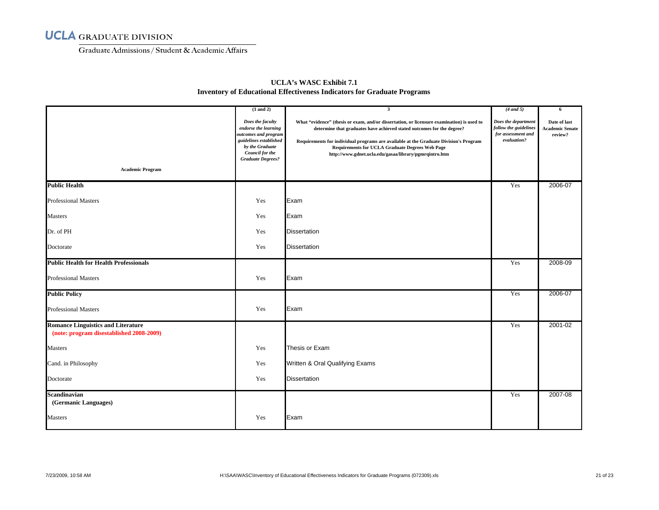Graduate Admissions/ Student & Academic Affairs

|                                                                                       | $(1$ and $2)$                                                                                                                                                       | $\mathbf{3}$                                                                                                                                                                                                                                                                                                                                                               | $(4$ and 5)                                                                       | 6                                                 |
|---------------------------------------------------------------------------------------|---------------------------------------------------------------------------------------------------------------------------------------------------------------------|----------------------------------------------------------------------------------------------------------------------------------------------------------------------------------------------------------------------------------------------------------------------------------------------------------------------------------------------------------------------------|-----------------------------------------------------------------------------------|---------------------------------------------------|
|                                                                                       | Does the faculty<br>endorse the learning<br>outcomes and program<br>guidelines established<br>by the Graduate<br><b>Council for the</b><br><b>Graduate Degrees?</b> | What "evidence" (thesis or exam, and/or dissertation, or licensure examination) is used to<br>determine that graduates have achieved stated outcomes for the degree?<br>Requirements for individual programs are available at the Graduate Division's Program<br>Requirements for UCLA Graduate Degrees Web Page<br>http://www.gdnet.ucla.edu/gasaa/library/pgmrqintro.htm | Does the department<br>follow the guidelines<br>for assessment and<br>evaluation? | Date of last<br><b>Academic Senate</b><br>review? |
| <b>Academic Program</b>                                                               |                                                                                                                                                                     |                                                                                                                                                                                                                                                                                                                                                                            |                                                                                   |                                                   |
| <b>Public Health</b>                                                                  |                                                                                                                                                                     |                                                                                                                                                                                                                                                                                                                                                                            | Yes                                                                               | 2006-07                                           |
| <b>Professional Masters</b>                                                           | Yes                                                                                                                                                                 | Exam                                                                                                                                                                                                                                                                                                                                                                       |                                                                                   |                                                   |
| <b>Masters</b>                                                                        | Yes                                                                                                                                                                 | Exam                                                                                                                                                                                                                                                                                                                                                                       |                                                                                   |                                                   |
| Dr. of PH                                                                             | Yes                                                                                                                                                                 | <b>Dissertation</b>                                                                                                                                                                                                                                                                                                                                                        |                                                                                   |                                                   |
| Doctorate                                                                             | Yes                                                                                                                                                                 | <b>Dissertation</b>                                                                                                                                                                                                                                                                                                                                                        |                                                                                   |                                                   |
| <b>Public Health for Health Professionals</b>                                         |                                                                                                                                                                     |                                                                                                                                                                                                                                                                                                                                                                            | Yes                                                                               | 2008-09                                           |
| <b>Professional Masters</b>                                                           | Yes                                                                                                                                                                 | Exam                                                                                                                                                                                                                                                                                                                                                                       |                                                                                   |                                                   |
| <b>Public Policy</b>                                                                  |                                                                                                                                                                     |                                                                                                                                                                                                                                                                                                                                                                            | Yes                                                                               | 2006-07                                           |
| <b>Professional Masters</b>                                                           | Yes                                                                                                                                                                 | Exam                                                                                                                                                                                                                                                                                                                                                                       |                                                                                   |                                                   |
| <b>Romance Linguistics and Literature</b><br>(note: program disestablished 2008-2009) |                                                                                                                                                                     |                                                                                                                                                                                                                                                                                                                                                                            | Yes                                                                               | 2001-02                                           |
| <b>Masters</b>                                                                        | Yes                                                                                                                                                                 | Thesis or Exam                                                                                                                                                                                                                                                                                                                                                             |                                                                                   |                                                   |
| Cand. in Philosophy                                                                   | Yes                                                                                                                                                                 | Written & Oral Qualifying Exams                                                                                                                                                                                                                                                                                                                                            |                                                                                   |                                                   |
| Doctorate                                                                             | Yes                                                                                                                                                                 | <b>Dissertation</b>                                                                                                                                                                                                                                                                                                                                                        |                                                                                   |                                                   |
| Scandinavian<br>(Germanic Languages)                                                  |                                                                                                                                                                     |                                                                                                                                                                                                                                                                                                                                                                            | Yes                                                                               | 2007-08                                           |
| Masters                                                                               | Yes                                                                                                                                                                 | Exam                                                                                                                                                                                                                                                                                                                                                                       |                                                                                   |                                                   |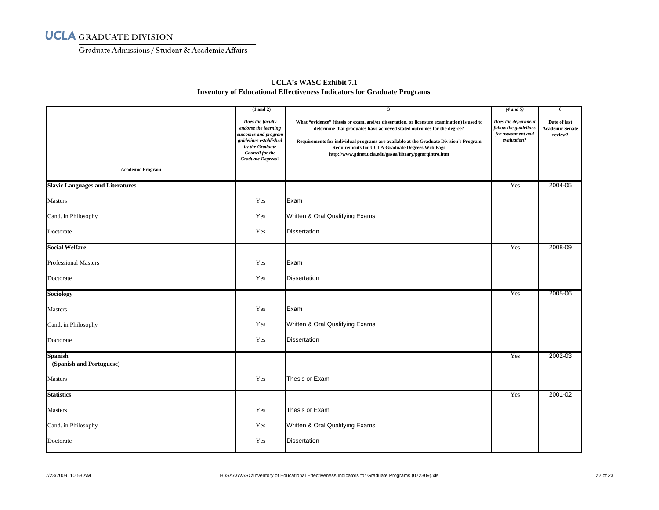Graduate Admissions/ Student & Academic Affairs

| <b>Academic Program</b>                    | $(1$ and $2)$<br>Does the faculty<br>endorse the learning<br>outcomes and program<br>guidelines established<br>by the Graduate<br>Council for the<br><b>Graduate Degrees?</b> | $\mathbf{3}$<br>What "evidence" (thesis or exam, and/or dissertation, or licensure examination) is used to<br>determine that graduates have achieved stated outcomes for the degree?<br>Requirements for individual programs are available at the Graduate Division's Program<br><b>Requirements for UCLA Graduate Degrees Web Page</b><br>http://www.gdnet.ucla.edu/gasaa/library/pgmrqintro.htm | $(4$ and 5)<br>Does the department<br>follow the guidelines<br>for assessment and<br>evaluation? | -6<br>Date of last<br><b>Academic Senate</b><br>review? |
|--------------------------------------------|-------------------------------------------------------------------------------------------------------------------------------------------------------------------------------|---------------------------------------------------------------------------------------------------------------------------------------------------------------------------------------------------------------------------------------------------------------------------------------------------------------------------------------------------------------------------------------------------|--------------------------------------------------------------------------------------------------|---------------------------------------------------------|
| <b>Slavic Languages and Literatures</b>    |                                                                                                                                                                               |                                                                                                                                                                                                                                                                                                                                                                                                   | Yes                                                                                              | 2004-05                                                 |
| Masters                                    | Yes                                                                                                                                                                           | Exam                                                                                                                                                                                                                                                                                                                                                                                              |                                                                                                  |                                                         |
| Cand. in Philosophy                        | Yes                                                                                                                                                                           | Written & Oral Qualifying Exams                                                                                                                                                                                                                                                                                                                                                                   |                                                                                                  |                                                         |
| Doctorate                                  | Yes                                                                                                                                                                           | <b>Dissertation</b>                                                                                                                                                                                                                                                                                                                                                                               |                                                                                                  |                                                         |
| <b>Social Welfare</b>                      |                                                                                                                                                                               |                                                                                                                                                                                                                                                                                                                                                                                                   | Yes                                                                                              | 2008-09                                                 |
| <b>Professional Masters</b>                | Yes                                                                                                                                                                           | Exam                                                                                                                                                                                                                                                                                                                                                                                              |                                                                                                  |                                                         |
| Doctorate                                  | Yes                                                                                                                                                                           | <b>Dissertation</b>                                                                                                                                                                                                                                                                                                                                                                               |                                                                                                  |                                                         |
| <b>Sociology</b>                           |                                                                                                                                                                               |                                                                                                                                                                                                                                                                                                                                                                                                   | Yes                                                                                              | 2005-06                                                 |
| Masters                                    | Yes                                                                                                                                                                           | Exam                                                                                                                                                                                                                                                                                                                                                                                              |                                                                                                  |                                                         |
| Cand. in Philosophy                        | Yes                                                                                                                                                                           | Written & Oral Qualifying Exams                                                                                                                                                                                                                                                                                                                                                                   |                                                                                                  |                                                         |
| Doctorate                                  | Yes                                                                                                                                                                           | <b>Dissertation</b>                                                                                                                                                                                                                                                                                                                                                                               |                                                                                                  |                                                         |
| <b>Spanish</b><br>(Spanish and Portuguese) |                                                                                                                                                                               |                                                                                                                                                                                                                                                                                                                                                                                                   | Yes                                                                                              | 2002-03                                                 |
| Masters                                    | Yes                                                                                                                                                                           | Thesis or Exam                                                                                                                                                                                                                                                                                                                                                                                    |                                                                                                  |                                                         |
| <b>Statistics</b>                          |                                                                                                                                                                               |                                                                                                                                                                                                                                                                                                                                                                                                   | Yes                                                                                              | 2001-02                                                 |
| <b>Masters</b>                             | Yes                                                                                                                                                                           | Thesis or Exam                                                                                                                                                                                                                                                                                                                                                                                    |                                                                                                  |                                                         |
| Cand. in Philosophy                        | Yes                                                                                                                                                                           | Written & Oral Qualifying Exams                                                                                                                                                                                                                                                                                                                                                                   |                                                                                                  |                                                         |
| Doctorate                                  | Yes                                                                                                                                                                           | <b>Dissertation</b>                                                                                                                                                                                                                                                                                                                                                                               |                                                                                                  |                                                         |